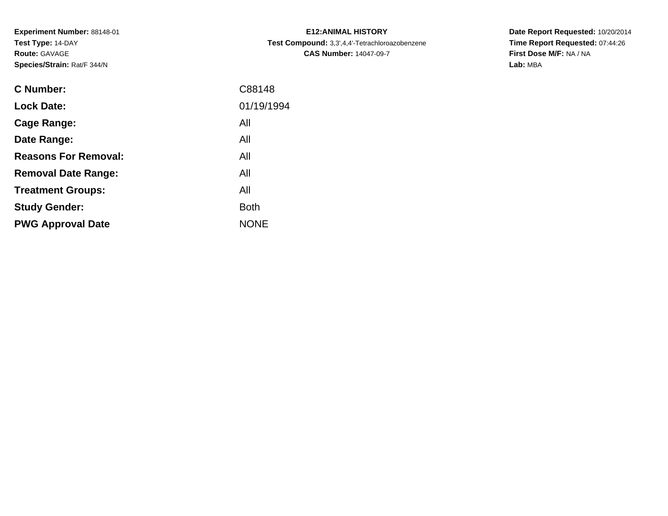**Experiment Number:** 88148-01**Test Type:** 14-DAY**Route:** GAVAGE**Species/Strain:** Rat/F 344/N

| <b>C Number:</b>            | C88148      |
|-----------------------------|-------------|
| <b>Lock Date:</b>           | 01/19/1994  |
| <b>Cage Range:</b>          | All         |
| Date Range:                 | All         |
| <b>Reasons For Removal:</b> | All         |
| <b>Removal Date Range:</b>  | All         |
| <b>Treatment Groups:</b>    | All         |
| <b>Study Gender:</b>        | <b>Both</b> |
| <b>PWG Approval Date</b>    | <b>NONE</b> |
|                             |             |

**E12:ANIMAL HISTORY Test Compound:** 3,3',4,4'-Tetrachloroazobenzene**CAS Number:** 14047-09-7

**Date Report Requested:** 10/20/2014 **Time Report Requested:** 07:44:26**First Dose M/F:** NA / NA**Lab:** MBA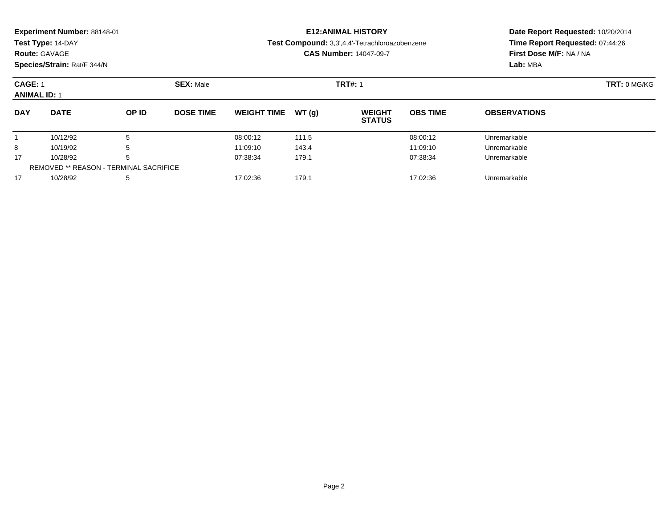| Experiment Number: 88148-01<br>Test Type: 14-DAY<br><b>Route: GAVAGE</b><br>Species/Strain: Rat/F 344/N |             |       |                  |                    |        | <b>E12: ANIMAL HISTORY</b><br>Test Compound: 3,3',4,4'-Tetrachloroazobenzene<br><b>CAS Number: 14047-09-7</b> | Date Report Requested: 10/20/2014<br>Time Report Requested: 07:44:26<br>First Dose M/F: NA / NA<br>Lab: MBA |                     |
|---------------------------------------------------------------------------------------------------------|-------------|-------|------------------|--------------------|--------|---------------------------------------------------------------------------------------------------------------|-------------------------------------------------------------------------------------------------------------|---------------------|
| CAGE: 1<br><b>ANIMAL ID: 1</b>                                                                          |             |       | <b>SEX: Male</b> |                    |        | <b>TRT#: 1</b>                                                                                                |                                                                                                             | <b>TRT: 0 MG/KG</b> |
| <b>DAY</b>                                                                                              | <b>DATE</b> | OP ID | <b>DOSE TIME</b> | <b>WEIGHT TIME</b> | WT (a) | <b>WEIGHT</b><br><b>STATUS</b>                                                                                | <b>OBS TIME</b>                                                                                             | <b>OBSERVATIONS</b> |
|                                                                                                         | 10/12/92    | 5     |                  | 08:00:12           | 111.5  |                                                                                                               | 08:00:12                                                                                                    | Unremarkable        |

8 10/19/92 5 5 11:09:10 143.4 11:09:10 11:09:10 Dhremarkable

10/28/92 <sup>5</sup> 07:38:34 179.1 07:38:34 Unremarkable

10/28/92 <sup>5</sup> 17:02:36 179.1 17:02:36 Unremarkable

8

17

17

REMOVED \*\* REASON - TERMINAL SACRIFICE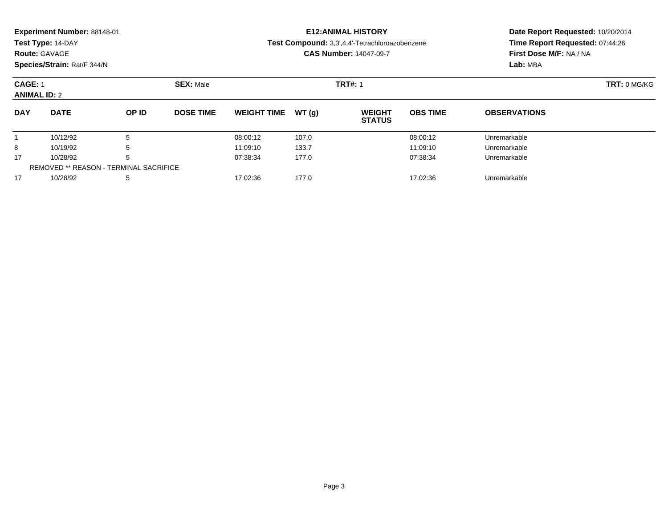| <b>Experiment Number: 88148-01</b><br>Test Type: 14-DAY<br><b>Route: GAVAGE</b><br>Species/Strain: Rat/F 344/N |                     |       |                  |                               |       | <b>E12: ANIMAL HISTORY</b><br>Test Compound: 3,3',4,4'-Tetrachloroazobenzene<br><b>CAS Number: 14047-09-7</b> | Date Report Requested: 10/20/2014<br>Time Report Requested: 07:44:26<br>First Dose M/F: NA / NA<br>Lab: MBA |                     |  |
|----------------------------------------------------------------------------------------------------------------|---------------------|-------|------------------|-------------------------------|-------|---------------------------------------------------------------------------------------------------------------|-------------------------------------------------------------------------------------------------------------|---------------------|--|
| CAGE: 1                                                                                                        | <b>ANIMAL ID: 2</b> |       | <b>SEX: Male</b> |                               |       | <b>TRT#: 1</b>                                                                                                |                                                                                                             | <b>TRT: 0 MG/KG</b> |  |
| <b>DAY</b>                                                                                                     | <b>DATE</b>         | OP ID | <b>DOSE TIME</b> | <b>WEIGHT TIME</b>            | WT(q) | <b>WEIGHT</b><br><b>STATUS</b>                                                                                | <b>OBS TIME</b>                                                                                             | <b>OBSERVATIONS</b> |  |
|                                                                                                                | 10/12/92            |       |                  | 08:00:12                      | 107.0 |                                                                                                               | 08:00:12                                                                                                    | Unremarkable        |  |
| 8                                                                                                              | 10/19/92            |       |                  | 133.7<br>11:09:10<br>11:09:10 |       |                                                                                                               |                                                                                                             | Unremarkable        |  |

8 10/19/92 5 5 11:09:10 133.7 11:09:10 133.7 11:09:10 Dhremarkable

10/28/92 <sup>5</sup> 07:38:34 177.0 07:38:34 Unremarkable

10/28/92 <sup>5</sup> 17:02:36 177.0 17:02:36 Unremarkable

17

17

REMOVED \*\* REASON - TERMINAL SACRIFICE

Page 3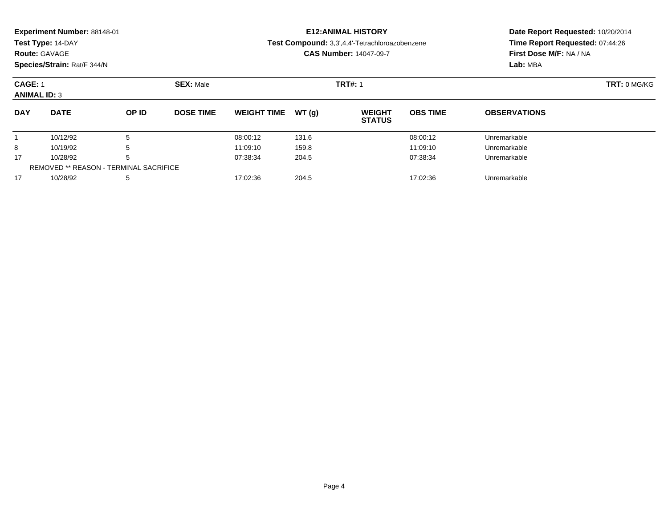| <b>Route: GAVAGE</b>                                      | Experiment Number: 88148-01<br>Test Type: 14-DAY<br>Species/Strain: Rat/F 344/N |       |                  |                    |                | <b>E12: ANIMAL HISTORY</b><br>Test Compound: 3,3',4,4'-Tetrachloroazobenzene<br><b>CAS Number: 14047-09-7</b> | Date Report Requested: 10/20/2014<br>Time Report Requested: 07:44:26<br>First Dose M/F: NA / NA<br>Lab: MBA |                     |  |
|-----------------------------------------------------------|---------------------------------------------------------------------------------|-------|------------------|--------------------|----------------|---------------------------------------------------------------------------------------------------------------|-------------------------------------------------------------------------------------------------------------|---------------------|--|
| <b>SEX: Male</b><br><b>CAGE: 1</b><br><b>ANIMAL ID: 3</b> |                                                                                 |       |                  |                    | <b>TRT#: 1</b> |                                                                                                               | TRT: 0 MG/KG                                                                                                |                     |  |
| <b>DAY</b>                                                | <b>DATE</b>                                                                     | OP ID | <b>DOSE TIME</b> | <b>WEIGHT TIME</b> | WT(q)          | <b>WEIGHT</b><br><b>STATUS</b>                                                                                | <b>OBS TIME</b>                                                                                             | <b>OBSERVATIONS</b> |  |
|                                                           | 10/12/92                                                                        | 5     |                  | 08:00:12           | 131.6          |                                                                                                               | 08:00:12                                                                                                    | Unremarkable        |  |
| 8                                                         | 10/19/92                                                                        | 5     |                  | 11:09:10           | 159.8          |                                                                                                               | 11:09:10                                                                                                    | Unremarkable        |  |
| 17                                                        | 10/28/92                                                                        | 5     |                  | 07:38:34           | 204.5          |                                                                                                               | 07:38:34                                                                                                    | Unremarkable        |  |

10/28/92 <sup>5</sup> 17:02:36 204.5 17:02:36 Unremarkable

REMOVED \*\* REASON - TERMINAL SACRIFICE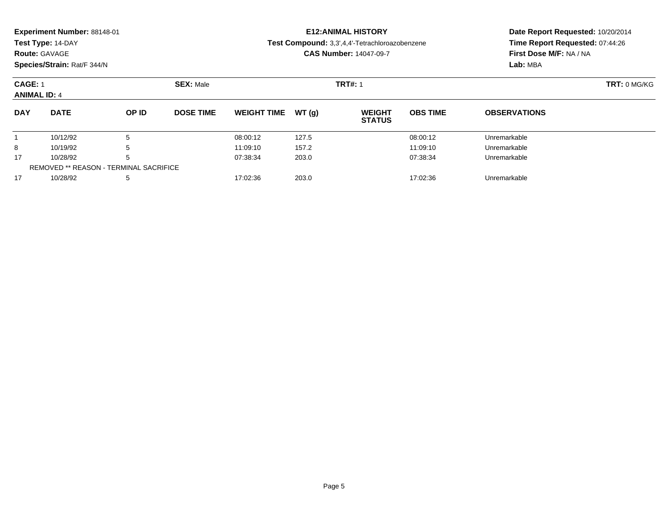| Experiment Number: 88148-01<br>Test Type: 14-DAY<br><b>Route: GAVAGE</b><br>Species/Strain: Rat/F 344/N |          |       |                  |                               | <b>E12: ANIMAL HISTORY</b><br>Test Compound: 3,3',4,4'-Tetrachloroazobenzene<br><b>CAS Number: 14047-09-7</b> | Date Report Requested: 10/20/2014<br>Time Report Requested: 07:44:26<br>First Dose M/F: NA / NA<br>Lab: MBA |                     |                     |  |
|---------------------------------------------------------------------------------------------------------|----------|-------|------------------|-------------------------------|---------------------------------------------------------------------------------------------------------------|-------------------------------------------------------------------------------------------------------------|---------------------|---------------------|--|
| <b>CAGE: 1</b><br><b>ANIMAL ID: 4</b>                                                                   |          |       | <b>SEX: Male</b> |                               |                                                                                                               | <b>TRT#: 1</b>                                                                                              | <b>TRT: 0 MG/KG</b> |                     |  |
| <b>DATE</b><br><b>DAY</b>                                                                               |          | OP ID | <b>DOSE TIME</b> | <b>WEIGHT TIME</b>            | WT(q)                                                                                                         | <b>WEIGHT</b><br><b>STATUS</b>                                                                              | <b>OBS TIME</b>     | <b>OBSERVATIONS</b> |  |
|                                                                                                         | 10/12/92 | 5     |                  | 08:00:12                      | 127.5                                                                                                         |                                                                                                             | 08:00:12            | Unremarkable        |  |
| 8<br>10/19/92<br>5                                                                                      |          |       |                  | 11:09:10                      | 157.2                                                                                                         |                                                                                                             | 11:09:10            | Unremarkable        |  |
| 17                                                                                                      | 10/28/92 | .5    |                  | 203.0<br>07:38:34<br>07:38:34 |                                                                                                               |                                                                                                             | Unremarkable        |                     |  |

10/28/92 <sup>5</sup> 07:38:34 203.0 07:38:34 Unremarkable

10/28/92 <sup>5</sup> 17:02:36 203.0 17:02:36 Unremarkable

REMOVED \*\* REASON - TERMINAL SACRIFICE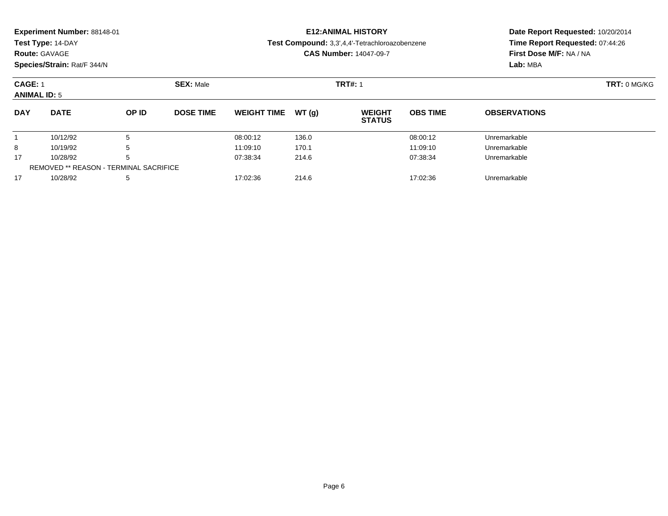| <b>Experiment Number: 88148-01</b><br>Test Type: 14-DAY<br><b>Route: GAVAGE</b><br>Species/Strain: Rat/F 344/N |             |       |                  |                    |        | <b>E12: ANIMAL HISTORY</b><br>Test Compound: 3,3',4,4'-Tetrachloroazobenzene<br><b>CAS Number: 14047-09-7</b> | Date Report Requested: 10/20/2014<br>Time Report Requested: 07:44:26<br>First Dose M/F: NA / NA<br>Lab: MBA |                     |
|----------------------------------------------------------------------------------------------------------------|-------------|-------|------------------|--------------------|--------|---------------------------------------------------------------------------------------------------------------|-------------------------------------------------------------------------------------------------------------|---------------------|
| CAGE: 1<br><b>ANIMAL ID: 5</b>                                                                                 |             |       | <b>SEX: Male</b> |                    |        | <b>TRT#: 1</b>                                                                                                |                                                                                                             | <b>TRT: 0 MG/KG</b> |
| <b>DAY</b>                                                                                                     | <b>DATE</b> | OP ID | <b>DOSE TIME</b> | <b>WEIGHT TIME</b> | WT (a) | <b>WEIGHT</b><br><b>STATUS</b>                                                                                | <b>OBS TIME</b>                                                                                             | <b>OBSERVATIONS</b> |
| 5<br>10/12/92                                                                                                  |             |       |                  | 08:00:12           | 136.0  |                                                                                                               | 08:00:12                                                                                                    | Unremarkable        |

8 10/19/92 5 5 11:09:10 170.1 170.1 11:09:10 11:09:10 15

10/28/92 <sup>5</sup> 07:38:34 214.6 07:38:34 Unremarkable

10/28/92 <sup>5</sup> 17:02:36 214.6 17:02:36 Unremarkable

8

17

17

REMOVED \*\* REASON - TERMINAL SACRIFICE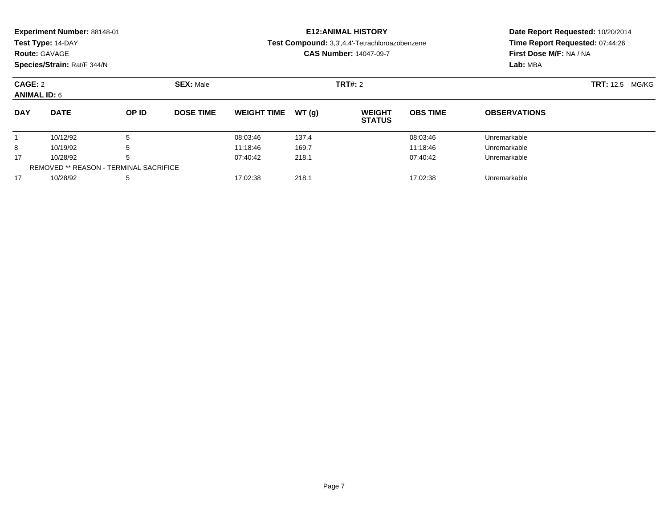|                                | Experiment Number: 88148-01<br>Test Type: 14-DAY<br><b>Route: GAVAGE</b><br>Species/Strain: Rat/F 344/N |                  |                  |                    |                        | <b>E12: ANIMAL HISTORY</b><br>Test Compound: 3,3',4,4'-Tetrachloroazobenzene<br><b>CAS Number: 14047-09-7</b> | Date Report Requested: 10/20/2014<br>Time Report Requested: 07:44:26<br>First Dose M/F: NA / NA<br>Lab: MBA |                     |  |
|--------------------------------|---------------------------------------------------------------------------------------------------------|------------------|------------------|--------------------|------------------------|---------------------------------------------------------------------------------------------------------------|-------------------------------------------------------------------------------------------------------------|---------------------|--|
| CAGE: 2<br><b>ANIMAL ID: 6</b> |                                                                                                         | <b>SEX: Male</b> |                  | TRT#: 2            | <b>TRT:</b> 12.5 MG/KG |                                                                                                               |                                                                                                             |                     |  |
| <b>DAY</b>                     | <b>DATE</b>                                                                                             | OP ID            | <b>DOSE TIME</b> | <b>WEIGHT TIME</b> | WT(g)                  | <b>WEIGHT</b><br><b>STATUS</b>                                                                                | <b>OBS TIME</b>                                                                                             | <b>OBSERVATIONS</b> |  |
|                                | 10/12/92                                                                                                | 5                |                  | 08:03:46           | 137.4                  |                                                                                                               | 08:03:46                                                                                                    | Unremarkable        |  |
| 8                              | 5<br>10/19/92                                                                                           |                  | 11:18:46         | 169.7              |                        | 11:18:46                                                                                                      | Unremarkable                                                                                                |                     |  |
| 17                             | 5<br>10/28/92                                                                                           |                  | 07:40:42         | 218.1              |                        | 07:40:42                                                                                                      | Unremarkable                                                                                                |                     |  |
|                                | <b>REMOVED ** REASON - TERMINAL SACRIFICE</b>                                                           |                  |                  |                    |                        |                                                                                                               |                                                                                                             |                     |  |

10/28/92 <sup>5</sup> 17:02:38 218.1 17:02:38 Unremarkable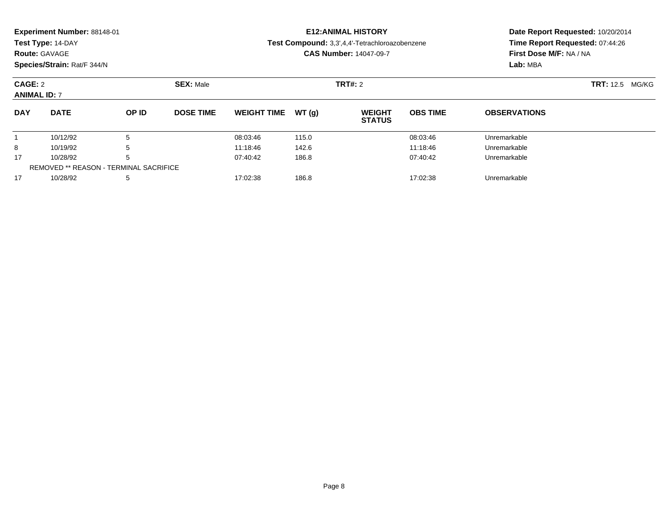| Experiment Number: 88148-01<br>Test Type: 14-DAY<br><b>Route: GAVAGE</b><br>Species/Strain: Rat/F 344/N |                                               |                  |                  |                               |                | <b>E12: ANIMAL HISTORY</b><br>Test Compound: 3,3',4,4'-Tetrachloroazobenzene<br><b>CAS Number: 14047-09-7</b> | Time Report Requested: 07:44:26<br>First Dose M/F: NA / NA<br>Lab: MBA | Date Report Requested: 10/20/2014 |  |
|---------------------------------------------------------------------------------------------------------|-----------------------------------------------|------------------|------------------|-------------------------------|----------------|---------------------------------------------------------------------------------------------------------------|------------------------------------------------------------------------|-----------------------------------|--|
| CAGE: 2<br><b>ANIMAL ID: 7</b>                                                                          |                                               | <b>SEX: Male</b> |                  |                               | <b>TRT#: 2</b> |                                                                                                               | <b>TRT:</b> 12.5 MG/KG                                                 |                                   |  |
| <b>DAY</b>                                                                                              | <b>DATE</b>                                   | OP ID            | <b>DOSE TIME</b> | <b>WEIGHT TIME</b>            | WT(q)          | <b>WEIGHT</b><br><b>STATUS</b>                                                                                | <b>OBS TIME</b>                                                        | <b>OBSERVATIONS</b>               |  |
|                                                                                                         | 10/12/92                                      | 5                |                  | 08:03:46                      | 115.0          |                                                                                                               | 08:03:46                                                               | Unremarkable                      |  |
| 5<br>8<br>10/19/92                                                                                      |                                               |                  | 11:18:46         | 142.6                         |                | 11:18:46                                                                                                      | Unremarkable                                                           |                                   |  |
| 17                                                                                                      | 5<br>10/28/92                                 |                  |                  | 07:40:42<br>186.8<br>07:40:42 |                |                                                                                                               | Unremarkable                                                           |                                   |  |
|                                                                                                         | <b>REMOVED ** REASON - TERMINAL SACRIFICE</b> |                  |                  |                               |                |                                                                                                               |                                                                        |                                   |  |

10/28/92 <sup>5</sup> 17:02:38 186.8 17:02:38 Unremarkable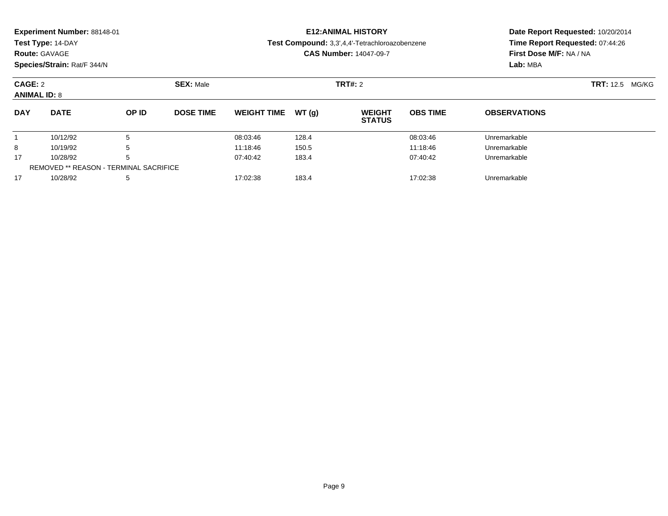| Experiment Number: 88148-01<br>Test Type: 14-DAY<br><b>Route: GAVAGE</b><br>Species/Strain: Rat/F 344/N |                                               |       |                  |                               |       | <b>E12: ANIMAL HISTORY</b><br>Test Compound: 3,3',4,4'-Tetrachloroazobenzene<br><b>CAS Number: 14047-09-7</b> | Date Report Requested: 10/20/2014<br>Time Report Requested: 07:44:26<br>First Dose M/F: NA / NA<br>Lab: MBA |                           |  |
|---------------------------------------------------------------------------------------------------------|-----------------------------------------------|-------|------------------|-------------------------------|-------|---------------------------------------------------------------------------------------------------------------|-------------------------------------------------------------------------------------------------------------|---------------------------|--|
| CAGE: 2<br><b>ANIMAL ID: 8</b>                                                                          |                                               |       | <b>SEX: Male</b> |                               |       | <b>TRT#: 2</b>                                                                                                |                                                                                                             | <b>TRT:</b> 12.5<br>MG/KG |  |
| <b>DAY</b>                                                                                              | <b>DATE</b>                                   | OP ID | <b>DOSE TIME</b> | <b>WEIGHT TIME</b>            | WT(q) | <b>WEIGHT</b><br><b>STATUS</b>                                                                                | <b>OBS TIME</b>                                                                                             | <b>OBSERVATIONS</b>       |  |
|                                                                                                         | 10/12/92                                      | 5     |                  | 08:03:46                      | 128.4 |                                                                                                               | 08:03:46                                                                                                    | Unremarkable              |  |
| 5<br>8<br>10/19/92                                                                                      |                                               |       | 11:18:46         | 150.5                         |       | 11:18:46                                                                                                      | Unremarkable                                                                                                |                           |  |
| 17                                                                                                      | 5<br>10/28/92                                 |       |                  | 07:40:42<br>183.4<br>07:40:42 |       |                                                                                                               | Unremarkable                                                                                                |                           |  |
|                                                                                                         | <b>REMOVED ** REASON - TERMINAL SACRIFICE</b> |       |                  |                               |       |                                                                                                               |                                                                                                             |                           |  |

10/28/92 <sup>5</sup> 17:02:38 183.4 17:02:38 Unremarkable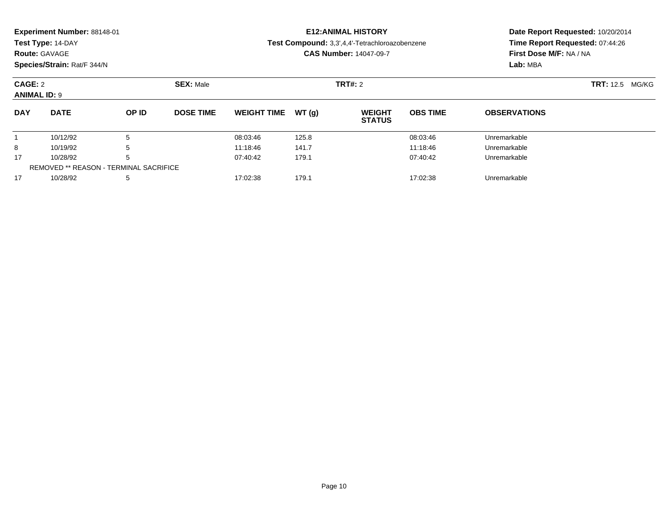| Experiment Number: 88148-01<br>Test Type: 14-DAY<br><b>Route: GAVAGE</b><br>Species/Strain: Rat/F 344/N |                                               |                  |                  |                               | <b>E12: ANIMAL HISTORY</b><br>Test Compound: 3,3',4,4'-Tetrachloroazobenzene<br><b>CAS Number: 14047-09-7</b> | Date Report Requested: 10/20/2014<br>Time Report Requested: 07:44:26<br>First Dose M/F: NA / NA |                        |                     |  |
|---------------------------------------------------------------------------------------------------------|-----------------------------------------------|------------------|------------------|-------------------------------|---------------------------------------------------------------------------------------------------------------|-------------------------------------------------------------------------------------------------|------------------------|---------------------|--|
|                                                                                                         |                                               |                  |                  |                               | Lab: MBA                                                                                                      |                                                                                                 |                        |                     |  |
| CAGE: 2                                                                                                 |                                               | <b>SEX: Male</b> |                  |                               | <b>TRT#: 2</b>                                                                                                |                                                                                                 | <b>TRT:</b> 12.5 MG/KG |                     |  |
| <b>ANIMAL ID: 9</b>                                                                                     |                                               |                  |                  |                               |                                                                                                               |                                                                                                 |                        |                     |  |
| <b>DAY</b>                                                                                              | <b>DATE</b>                                   | OP ID            | <b>DOSE TIME</b> | <b>WEIGHT TIME</b>            | WT(q)                                                                                                         | <b>WEIGHT</b><br><b>STATUS</b>                                                                  | <b>OBS TIME</b>        | <b>OBSERVATIONS</b> |  |
|                                                                                                         | 10/12/92                                      | 5                |                  | 08:03:46                      | 125.8                                                                                                         |                                                                                                 | 08:03:46               | Unremarkable        |  |
| 5<br>8<br>10/19/92                                                                                      |                                               |                  | 11:18:46         | 141.7                         |                                                                                                               | 11:18:46                                                                                        | Unremarkable           |                     |  |
| 17                                                                                                      | 5<br>10/28/92                                 |                  |                  | 07:40:42<br>179.1<br>07:40:42 |                                                                                                               |                                                                                                 | Unremarkable           |                     |  |
|                                                                                                         | <b>REMOVED ** REASON - TERMINAL SACRIFICE</b> |                  |                  |                               |                                                                                                               |                                                                                                 |                        |                     |  |

10/28/92 <sup>5</sup> 17:02:38 179.1 17:02:38 Unremarkable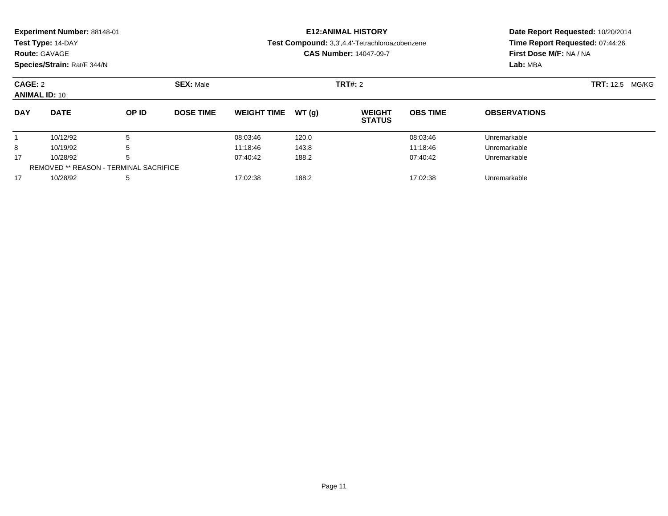|                                 | Experiment Number: 88148-01<br>Test Type: 14-DAY    |       |                  |                               | <b>E12: ANIMAL HISTORY</b><br>Test Compound: 3,3',4,4'-Tetrachloroazobenzene | Date Report Requested: 10/20/2014<br>Time Report Requested: 07:44:26<br>First Dose M/F: NA / NA |                 |                           |  |
|---------------------------------|-----------------------------------------------------|-------|------------------|-------------------------------|------------------------------------------------------------------------------|-------------------------------------------------------------------------------------------------|-----------------|---------------------------|--|
|                                 | <b>Route: GAVAGE</b><br>Species/Strain: Rat/F 344/N |       |                  | <b>CAS Number: 14047-09-7</b> |                                                                              |                                                                                                 |                 | Lab: MBA                  |  |
| CAGE: 2<br><b>ANIMAL ID: 10</b> |                                                     |       | <b>SEX: Male</b> |                               |                                                                              | <b>TRT#: 2</b>                                                                                  |                 | <b>TRT:</b> 12.5<br>MG/KG |  |
| <b>DAY</b>                      | <b>DATE</b>                                         | OP ID | <b>DOSE TIME</b> | <b>WEIGHT TIME</b>            | WT(q)                                                                        | <b>WEIGHT</b><br><b>STATUS</b>                                                                  | <b>OBS TIME</b> | <b>OBSERVATIONS</b>       |  |
|                                 | 10/12/92                                            | 5     |                  | 08:03:46                      | 120.0                                                                        |                                                                                                 | 08:03:46        | Unremarkable              |  |
| 8                               | 10/19/92                                            |       |                  | 11:18:46                      | 143.8                                                                        |                                                                                                 | 11:18:46        | Unremarkable              |  |
| 17                              | 10/28/92<br>5                                       |       |                  | 07:40:42                      | 188.2                                                                        |                                                                                                 | 07:40:42        | Unremarkable              |  |
|                                 | <b>REMOVED ** REASON - TERMINAL SACRIFICE</b>       |       |                  |                               |                                                                              |                                                                                                 |                 |                           |  |

10/28/92 <sup>5</sup> 17:02:38 188.2 17:02:38 Unremarkable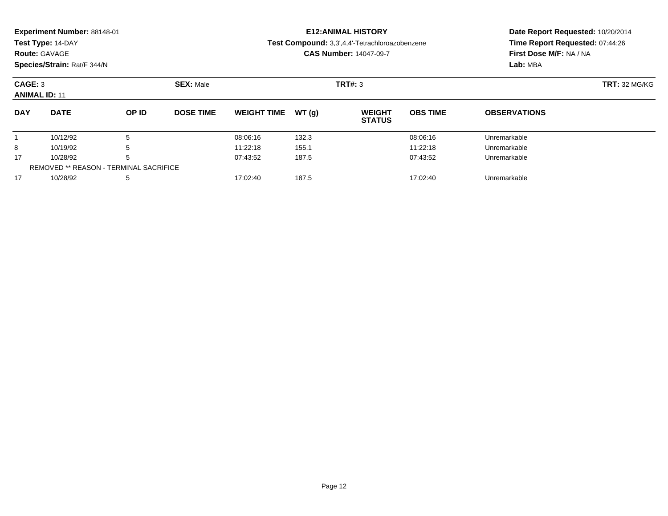| Experiment Number: 88148-01<br>Test Type: 14-DAY<br><b>Route: GAVAGE</b><br>Species/Strain: Rat/F 344/N |                                               |                  |                  |                    |         | <b>E12: ANIMAL HISTORY</b><br>Test Compound: 3,3',4,4'-Tetrachloroazobenzene<br><b>CAS Number: 14047-09-7</b> | Date Report Requested: 10/20/2014<br>Time Report Requested: 07:44:26<br>First Dose M/F: NA / NA<br>Lab: MBA |                     |
|---------------------------------------------------------------------------------------------------------|-----------------------------------------------|------------------|------------------|--------------------|---------|---------------------------------------------------------------------------------------------------------------|-------------------------------------------------------------------------------------------------------------|---------------------|
| CAGE: 3<br><b>ANIMAL ID: 11</b>                                                                         |                                               | <b>SEX: Male</b> |                  |                    | TRT#: 3 | <b>TRT: 32 MG/KG</b>                                                                                          |                                                                                                             |                     |
| <b>DAY</b>                                                                                              | <b>DATE</b>                                   | OP ID            | <b>DOSE TIME</b> | <b>WEIGHT TIME</b> | WT(q)   | <b>WEIGHT</b><br><b>STATUS</b>                                                                                | <b>OBS TIME</b>                                                                                             | <b>OBSERVATIONS</b> |
|                                                                                                         | 10/12/92<br>5                                 |                  |                  | 08:06:16           | 132.3   |                                                                                                               | 08:06:16                                                                                                    | Unremarkable        |
| 8                                                                                                       | 5<br>10/19/92                                 |                  |                  | 11:22:18           | 155.1   |                                                                                                               | 11:22:18                                                                                                    | Unremarkable        |
| 17                                                                                                      | 10/28/92                                      | 5                |                  | 07:43:52           | 187.5   |                                                                                                               | 07:43:52                                                                                                    | Unremarkable        |
|                                                                                                         | <b>REMOVED ** REASON - TERMINAL SACRIFICE</b> |                  |                  |                    |         |                                                                                                               |                                                                                                             |                     |

10/28/92 <sup>5</sup> 17:02:40 187.5 17:02:40 Unremarkable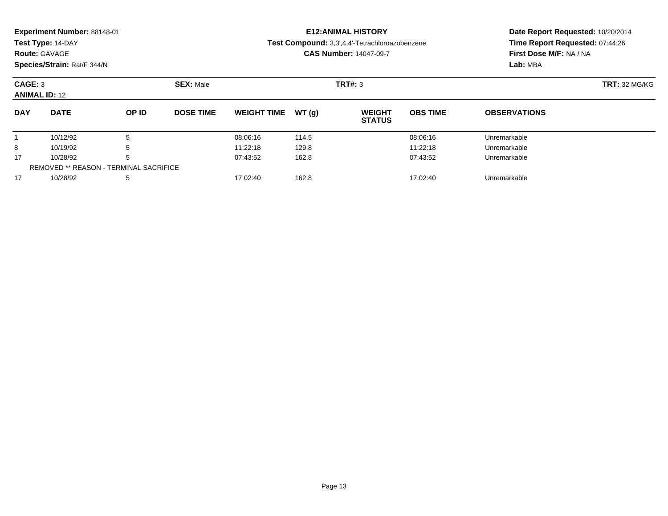|            | Experiment Number: 88148-01<br>Test Type: 14-DAY<br><b>Route: GAVAGE</b><br>Species/Strain: Rat/F 344/N |       |                               |                    |       | <b>E12: ANIMAL HISTORY</b><br>Test Compound: 3,3',4,4'-Tetrachloroazobenzene<br><b>CAS Number: 14047-09-7</b> | Date Report Requested: 10/20/2014<br>Time Report Requested: 07:44:26<br>First Dose M/F: NA / NA<br>Lab: MBA |                     |  |
|------------|---------------------------------------------------------------------------------------------------------|-------|-------------------------------|--------------------|-------|---------------------------------------------------------------------------------------------------------------|-------------------------------------------------------------------------------------------------------------|---------------------|--|
|            | CAGE: 3<br><b>SEX: Male</b><br><b>ANIMAL ID: 12</b>                                                     |       |                               |                    |       | TRT#: 3                                                                                                       | <b>TRT: 32 MG/KG</b>                                                                                        |                     |  |
| <b>DAY</b> | <b>DATE</b>                                                                                             | OP ID | <b>DOSE TIME</b>              | <b>WEIGHT TIME</b> | WT(q) | <b>WEIGHT</b><br><b>STATUS</b>                                                                                | <b>OBS TIME</b>                                                                                             | <b>OBSERVATIONS</b> |  |
|            | 10/12/92                                                                                                | 5     |                               | 08:06:16           | 114.5 |                                                                                                               | 08:06:16                                                                                                    | Unremarkable        |  |
| 8          | 10/19/92<br>5                                                                                           |       |                               | 11:22:18           | 129.8 |                                                                                                               | 11:22:18                                                                                                    | Unremarkable        |  |
| 17         | 10/28/92<br>h                                                                                           |       | 07:43:52<br>162.8<br>07:43:52 |                    |       | Unremarkable                                                                                                  |                                                                                                             |                     |  |
|            | <b>REMOVED ** REASON - TERMINAL SACRIFICE</b>                                                           |       |                               |                    |       |                                                                                                               |                                                                                                             |                     |  |

10/28/92 <sup>5</sup> 17:02:40 162.8 17:02:40 Unremarkable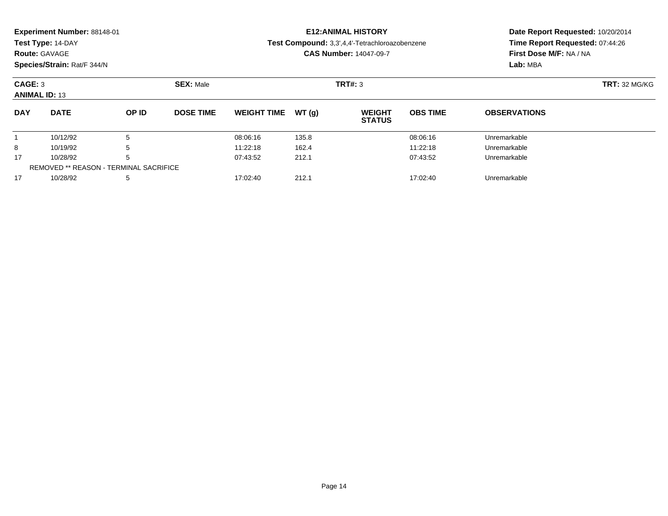| <b>Route: GAVAGE</b>            | Experiment Number: 88148-01<br>Test Type: 14-DAY<br>Species/Strain: Rat/F 344/N |       |                  |                               |       | <b>E12: ANIMAL HISTORY</b><br>Test Compound: 3,3',4,4'-Tetrachloroazobenzene<br><b>CAS Number: 14047-09-7</b> | Date Report Requested: 10/20/2014<br>Time Report Requested: 07:44:26<br>First Dose M/F: NA / NA<br>Lab: MBA |                      |  |
|---------------------------------|---------------------------------------------------------------------------------|-------|------------------|-------------------------------|-------|---------------------------------------------------------------------------------------------------------------|-------------------------------------------------------------------------------------------------------------|----------------------|--|
| CAGE: 3<br><b>ANIMAL ID: 13</b> |                                                                                 |       | <b>SEX: Male</b> |                               |       | TRT#: 3                                                                                                       |                                                                                                             | <b>TRT: 32 MG/KG</b> |  |
| <b>DAY</b>                      | <b>DATE</b>                                                                     | OP ID | <b>DOSE TIME</b> | <b>WEIGHT TIME</b>            | WT(q) | <b>WEIGHT</b><br><b>STATUS</b>                                                                                | <b>OBS TIME</b>                                                                                             | <b>OBSERVATIONS</b>  |  |
|                                 | 10/12/92                                                                        | 5     |                  | 08:06:16                      | 135.8 |                                                                                                               | 08:06:16                                                                                                    | Unremarkable         |  |
| 8                               | 10/19/92                                                                        | 5     |                  | 11:22:18                      | 162.4 |                                                                                                               | 11:22:18                                                                                                    | Unremarkable         |  |
| 17                              | 10/28/92<br>5                                                                   |       |                  | 07:43:52<br>07:43:52<br>212.1 |       |                                                                                                               |                                                                                                             | Unremarkable         |  |

10/28/92 <sup>5</sup> 17:02:40 212.1 17:02:40 Unremarkable

REMOVED \*\* REASON - TERMINAL SACRIFICE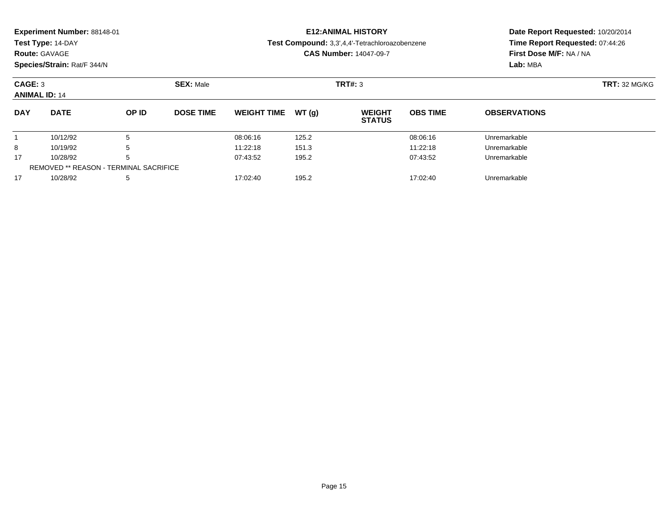|            | Experiment Number: 88148-01<br>Test Type: 14-DAY<br><b>Route: GAVAGE</b><br>Species/Strain: Rat/F 344/N |       |                  |                               |       | <b>E12: ANIMAL HISTORY</b><br>Test Compound: 3,3',4,4'-Tetrachloroazobenzene<br><b>CAS Number: 14047-09-7</b> | Date Report Requested: 10/20/2014<br>Time Report Requested: 07:44:26<br>First Dose M/F: NA / NA<br>Lab: MBA |                     |
|------------|---------------------------------------------------------------------------------------------------------|-------|------------------|-------------------------------|-------|---------------------------------------------------------------------------------------------------------------|-------------------------------------------------------------------------------------------------------------|---------------------|
|            | CAGE: 3<br><b>ANIMAL ID: 14</b>                                                                         |       |                  |                               |       | TRT#: 3                                                                                                       | <b>TRT: 32 MG/KG</b>                                                                                        |                     |
| <b>DAY</b> | <b>DATE</b>                                                                                             | OP ID | <b>DOSE TIME</b> | <b>WEIGHT TIME</b>            | WT(q) | <b>WEIGHT</b><br><b>STATUS</b>                                                                                | <b>OBS TIME</b>                                                                                             | <b>OBSERVATIONS</b> |
|            | 10/12/92                                                                                                | 5     |                  | 08:06:16                      | 125.2 |                                                                                                               | 08:06:16                                                                                                    | Unremarkable        |
| 8          | 10/19/92                                                                                                | 5     |                  | 11:22:18                      | 151.3 |                                                                                                               | 11:22:18                                                                                                    | Unremarkable        |
| 17         | 10/28/92<br>5                                                                                           |       |                  | 195.2<br>07:43:52<br>07:43:52 |       |                                                                                                               | Unremarkable                                                                                                |                     |
|            | <b>REMOVED ** REASON - TERMINAL SACRIFICE</b>                                                           |       |                  |                               |       |                                                                                                               |                                                                                                             |                     |

10/28/92 <sup>5</sup> 17:02:40 195.2 17:02:40 Unremarkable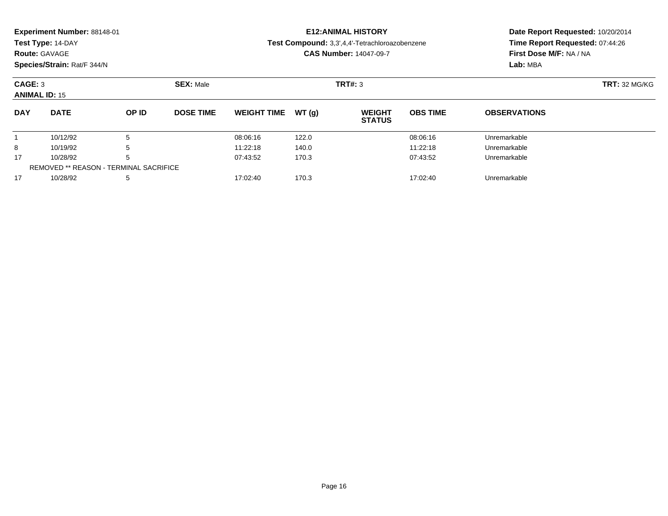| <b>Route: GAVAGE</b>            | Experiment Number: 88148-01<br>Test Type: 14-DAY<br>Species/Strain: Rat/F 344/N |       |                  |                                               |       | <b>E12: ANIMAL HISTORY</b><br>Test Compound: 3,3',4,4'-Tetrachloroazobenzene<br><b>CAS Number: 14047-09-7</b> | Date Report Requested: 10/20/2014<br>Time Report Requested: 07:44:26<br>First Dose M/F: NA / NA<br>Lab: MBA |                     |  |
|---------------------------------|---------------------------------------------------------------------------------|-------|------------------|-----------------------------------------------|-------|---------------------------------------------------------------------------------------------------------------|-------------------------------------------------------------------------------------------------------------|---------------------|--|
| CAGE: 3<br><b>ANIMAL ID: 15</b> |                                                                                 |       | <b>SEX: Male</b> |                                               |       | TRT#: 3                                                                                                       | <b>TRT: 32 MG/KG</b>                                                                                        |                     |  |
| <b>DAY</b>                      | <b>DATE</b>                                                                     | OP ID | <b>DOSE TIME</b> | <b>WEIGHT TIME</b>                            | WT(q) | <b>WEIGHT</b><br><b>STATUS</b>                                                                                | <b>OBS TIME</b>                                                                                             | <b>OBSERVATIONS</b> |  |
|                                 | 10/12/92                                                                        | 5     |                  | 08:06:16                                      | 122.0 |                                                                                                               | 08:06:16                                                                                                    | Unremarkable        |  |
| 8                               | 10/19/92                                                                        | 5     |                  | 11:22:18                                      | 140.0 |                                                                                                               | 11:22:18                                                                                                    | Unremarkable        |  |
| 17                              | 10/28/92<br>.b                                                                  |       |                  | 07:43:52<br>170.3<br>07:43:52<br>Unremarkable |       |                                                                                                               |                                                                                                             |                     |  |

10/28/92 <sup>5</sup> 17:02:40 170.3 17:02:40 Unremarkable

REMOVED \*\* REASON - TERMINAL SACRIFICE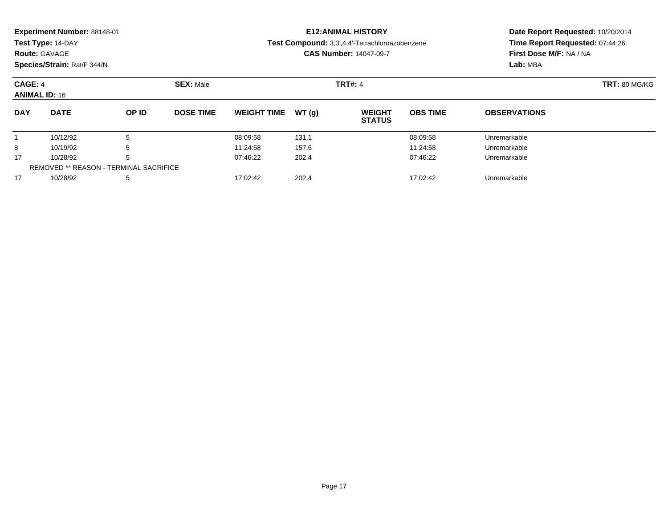|                                 | Experiment Number: 88148-01<br>Test Type: 14-DAY<br><b>Route: GAVAGE</b> |       |                  |                               |                | <b>E12: ANIMAL HISTORY</b><br>Test Compound: 3,3',4,4'-Tetrachloroazobenzene<br><b>CAS Number: 14047-09-7</b> | Date Report Requested: 10/20/2014<br>Time Report Requested: 07:44:26<br>First Dose M/F: NA / NA<br>Lab: MBA |                     |  |
|---------------------------------|--------------------------------------------------------------------------|-------|------------------|-------------------------------|----------------|---------------------------------------------------------------------------------------------------------------|-------------------------------------------------------------------------------------------------------------|---------------------|--|
|                                 | Species/Strain: Rat/F 344/N                                              |       |                  |                               |                |                                                                                                               |                                                                                                             |                     |  |
| CAGE: 4<br><b>ANIMAL ID: 16</b> |                                                                          |       | <b>SEX: Male</b> |                               | <b>TRT#: 4</b> | <b>TRT: 80 MG/KG</b>                                                                                          |                                                                                                             |                     |  |
| <b>DAY</b>                      | <b>DATE</b>                                                              | OP ID | <b>DOSE TIME</b> | <b>WEIGHT TIME</b>            | WT(q)          | <b>WEIGHT</b><br><b>STATUS</b>                                                                                | <b>OBS TIME</b>                                                                                             | <b>OBSERVATIONS</b> |  |
|                                 | 10/12/92                                                                 | 5     |                  | 08:09:58                      | 131.1          |                                                                                                               | 08:09:58                                                                                                    | Unremarkable        |  |
| 8                               | 10/19/92<br>5                                                            |       |                  | 11:24:58                      | 157.6          |                                                                                                               | 11:24:58                                                                                                    | Unremarkable        |  |
| 17                              | 10/28/92<br>h                                                            |       |                  | 07:46:22<br>202.4<br>07:46:22 |                |                                                                                                               | Unremarkable                                                                                                |                     |  |
|                                 | <b>REMOVED ** REASON - TERMINAL SACRIFICE</b>                            |       |                  |                               |                |                                                                                                               |                                                                                                             |                     |  |

10/28/92 <sup>5</sup> 17:02:42 202.4 17:02:42 Unremarkable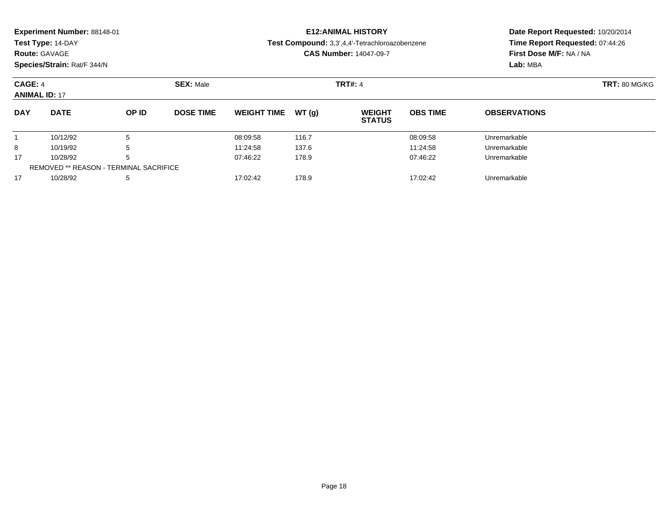|                      | Experiment Number: 88148-01<br>Test Type: 14-DAY<br><b>Route: GAVAGE</b><br>Species/Strain: Rat/F 344/N |       |                               |                    | <b>E12: ANIMAL HISTORY</b><br>Test Compound: 3,3',4,4'-Tetrachloroazobenzene<br><b>CAS Number: 14047-09-7</b> | Date Report Requested: 10/20/2014<br>Time Report Requested: 07:44:26<br>First Dose M/F: NA / NA<br>Lab: MBA |                      |                     |  |
|----------------------|---------------------------------------------------------------------------------------------------------|-------|-------------------------------|--------------------|---------------------------------------------------------------------------------------------------------------|-------------------------------------------------------------------------------------------------------------|----------------------|---------------------|--|
| CAGE: 4              |                                                                                                         |       | <b>SEX: Male</b>              |                    |                                                                                                               | <b>TRT#: 4</b>                                                                                              | <b>TRT: 80 MG/KG</b> |                     |  |
| <b>ANIMAL ID: 17</b> |                                                                                                         |       |                               |                    |                                                                                                               |                                                                                                             |                      |                     |  |
| <b>DAY</b>           | <b>DATE</b>                                                                                             | OP ID | <b>DOSE TIME</b>              | <b>WEIGHT TIME</b> | WT(q)                                                                                                         | <b>WEIGHT</b><br><b>STATUS</b>                                                                              | <b>OBS TIME</b>      | <b>OBSERVATIONS</b> |  |
|                      | 10/12/92                                                                                                | 5     |                               | 08:09:58           | 116.7                                                                                                         |                                                                                                             | 08:09:58             | Unremarkable        |  |
| 8                    | 10/19/92<br>5                                                                                           |       |                               | 11:24:58           | 137.6                                                                                                         |                                                                                                             | 11:24:58             | Unremarkable        |  |
| 17                   | 10/28/92<br>h                                                                                           |       | 07:46:22<br>178.9<br>07:46:22 |                    |                                                                                                               | Unremarkable                                                                                                |                      |                     |  |
|                      | <b>REMOVED ** REASON - TERMINAL SACRIFICE</b>                                                           |       |                               |                    |                                                                                                               |                                                                                                             |                      |                     |  |

10/28/92 <sup>5</sup> 17:02:42 178.9 17:02:42 Unremarkable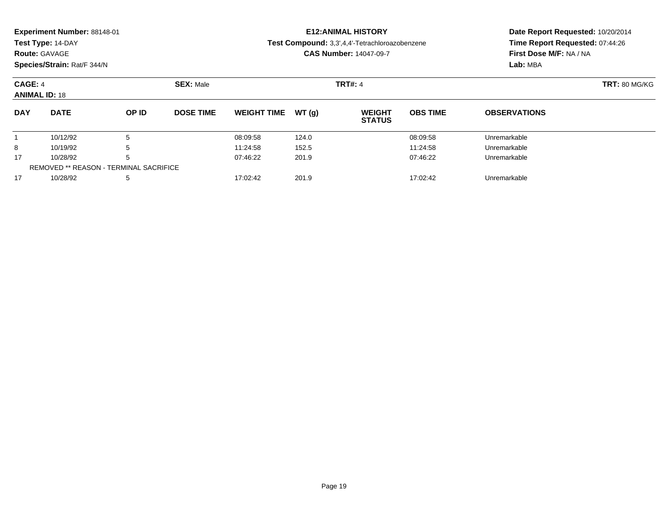|                                 | Experiment Number: 88148-01<br>Test Type: 14-DAY<br><b>Route: GAVAGE</b> |       |                               |                    | <b>E12: ANIMAL HISTORY</b><br>Test Compound: 3,3',4,4'-Tetrachloroazobenzene<br><b>CAS Number: 14047-09-7</b> | Date Report Requested: 10/20/2014<br>Time Report Requested: 07:44:26<br>First Dose M/F: NA / NA<br>Lab: MBA |                      |                     |  |
|---------------------------------|--------------------------------------------------------------------------|-------|-------------------------------|--------------------|---------------------------------------------------------------------------------------------------------------|-------------------------------------------------------------------------------------------------------------|----------------------|---------------------|--|
|                                 | Species/Strain: Rat/F 344/N                                              |       |                               |                    |                                                                                                               |                                                                                                             |                      |                     |  |
| CAGE: 4<br><b>ANIMAL ID: 18</b> |                                                                          |       | <b>SEX: Male</b>              |                    |                                                                                                               | <b>TRT#: 4</b>                                                                                              | <b>TRT: 80 MG/KG</b> |                     |  |
| <b>DAY</b>                      | <b>DATE</b>                                                              | OP ID | <b>DOSE TIME</b>              | <b>WEIGHT TIME</b> | WT(q)                                                                                                         | <b>WEIGHT</b><br><b>STATUS</b>                                                                              | <b>OBS TIME</b>      | <b>OBSERVATIONS</b> |  |
|                                 | 10/12/92                                                                 | 5     |                               | 08:09:58           | 124.0                                                                                                         |                                                                                                             | 08:09:58             | Unremarkable        |  |
| 8                               | 10/19/92<br>5                                                            |       |                               | 11:24:58           | 152.5                                                                                                         |                                                                                                             | 11:24:58             | Unremarkable        |  |
| 17                              | 10/28/92<br>h                                                            |       | 07:46:22<br>201.9<br>07:46:22 |                    |                                                                                                               | Unremarkable                                                                                                |                      |                     |  |
|                                 | <b>REMOVED ** REASON - TERMINAL SACRIFICE</b>                            |       |                               |                    |                                                                                                               |                                                                                                             |                      |                     |  |

10/28/92 <sup>5</sup> 17:02:42 201.9 17:02:42 Unremarkable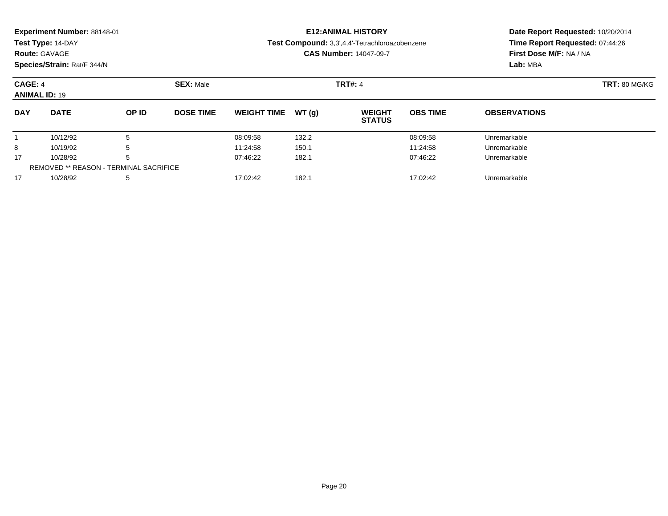|            | Experiment Number: 88148-01<br>Test Type: 14-DAY<br><b>Route: GAVAGE</b><br>Species/Strain: Rat/F 344/N |       |                  |                               |                | <b>E12: ANIMAL HISTORY</b><br>Test Compound: 3,3',4,4'-Tetrachloroazobenzene<br><b>CAS Number: 14047-09-7</b> | Date Report Requested: 10/20/2014<br>Time Report Requested: 07:44:26<br>First Dose M/F: NA / NA<br>Lab: MBA |                     |  |
|------------|---------------------------------------------------------------------------------------------------------|-------|------------------|-------------------------------|----------------|---------------------------------------------------------------------------------------------------------------|-------------------------------------------------------------------------------------------------------------|---------------------|--|
| CAGE: 4    | <b>ANIMAL ID: 19</b>                                                                                    |       | <b>SEX: Male</b> |                               | <b>TRT#: 4</b> | <b>TRT: 80 MG/KG</b>                                                                                          |                                                                                                             |                     |  |
| <b>DAY</b> | <b>DATE</b>                                                                                             | OP ID | <b>DOSE TIME</b> | <b>WEIGHT TIME</b>            | WT (g)         | <b>WEIGHT</b><br><b>STATUS</b>                                                                                | <b>OBS TIME</b>                                                                                             | <b>OBSERVATIONS</b> |  |
|            | 5<br>10/12/92                                                                                           |       |                  | 08:09:58                      | 132.2          |                                                                                                               | 08:09:58                                                                                                    | Unremarkable        |  |
| 8          | 10/19/92<br>5                                                                                           |       |                  | 11:24:58                      | 150.1          |                                                                                                               | 11:24:58                                                                                                    | Unremarkable        |  |
| 17         | 5<br>10/28/92                                                                                           |       |                  | 182.1<br>07:46:22<br>07:46:22 |                |                                                                                                               |                                                                                                             | Unremarkable        |  |

10/28/92 <sup>5</sup> 17:02:42 182.1 17:02:42 Unremarkable

REMOVED \*\* REASON - TERMINAL SACRIFICE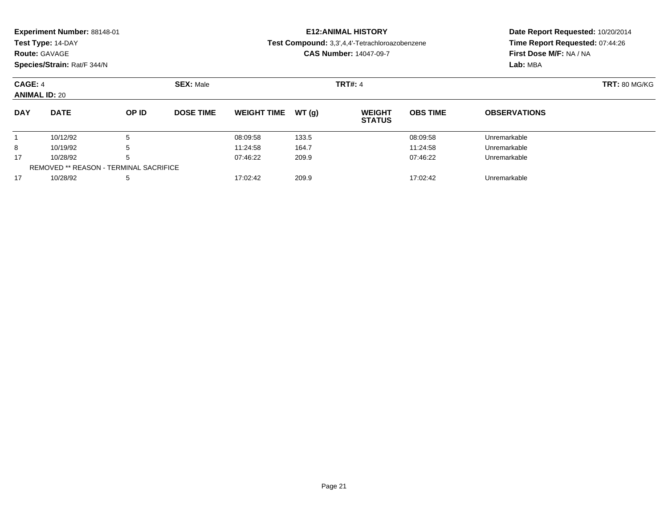|            | Experiment Number: 88148-01<br>Test Type: 14-DAY<br><b>Route: GAVAGE</b><br>Species/Strain: Rat/F 344/N |       |                  | <b>E12: ANIMAL HISTORY</b><br>Test Compound: 3,3',4,4'-Tetrachloroazobenzene<br><b>CAS Number: 14047-09-7</b> | Date Report Requested: 10/20/2014<br>Time Report Requested: 07:44:26<br>First Dose M/F: NA / NA<br>Lab: MBA |                                |                 |                      |  |
|------------|---------------------------------------------------------------------------------------------------------|-------|------------------|---------------------------------------------------------------------------------------------------------------|-------------------------------------------------------------------------------------------------------------|--------------------------------|-----------------|----------------------|--|
| CAGE: 4    |                                                                                                         |       | <b>SEX: Male</b> |                                                                                                               |                                                                                                             | <b>TRT#: 4</b>                 |                 | <b>TRT: 80 MG/KG</b> |  |
|            | <b>ANIMAL ID: 20</b>                                                                                    |       |                  |                                                                                                               |                                                                                                             |                                |                 |                      |  |
| <b>DAY</b> | <b>DATE</b>                                                                                             | OP ID | <b>DOSE TIME</b> | <b>WEIGHT TIME</b>                                                                                            | WT(q)                                                                                                       | <b>WEIGHT</b><br><b>STATUS</b> | <b>OBS TIME</b> | <b>OBSERVATIONS</b>  |  |
|            | 10/12/92                                                                                                | 5     |                  | 08:09:58                                                                                                      | 133.5                                                                                                       |                                | 08:09:58        | Unremarkable         |  |
| 8          | 5<br>10/19/92                                                                                           |       |                  | 11:24:58                                                                                                      | 164.7                                                                                                       |                                | 11:24:58        | Unremarkable         |  |
| 17         | 5<br>10/28/92                                                                                           |       |                  | 07:46:22<br>209.9<br>07:46:22                                                                                 |                                                                                                             |                                | Unremarkable    |                      |  |
|            | <b>REMOVED ** REASON - TERMINAL SACRIFICE</b>                                                           |       |                  |                                                                                                               |                                                                                                             |                                |                 |                      |  |

10/28/92 <sup>5</sup> 17:02:42 209.9 17:02:42 Unremarkable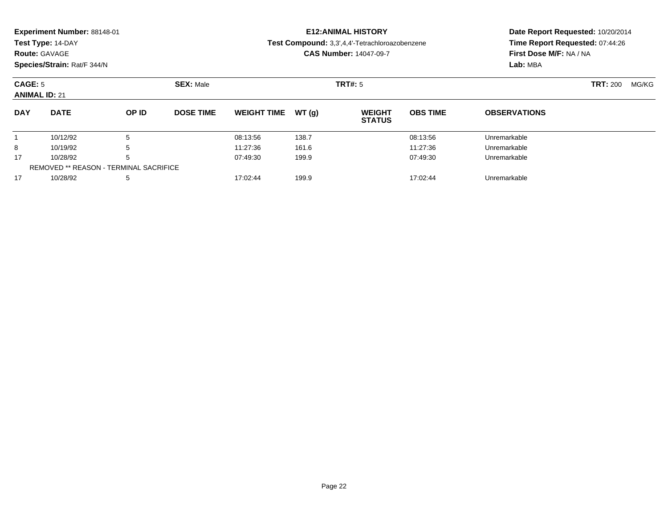|                                 | Experiment Number: 88148-01<br>Test Type: 14-DAY<br><b>Route: GAVAGE</b><br>Species/Strain: Rat/F 344/N |       |                  |                               |                | <b>E12: ANIMAL HISTORY</b><br>Test Compound: 3,3',4,4'-Tetrachloroazobenzene<br><b>CAS Number: 14047-09-7</b> | Date Report Requested: 10/20/2014<br>Time Report Requested: 07:44:26<br>First Dose M/F: NA / NA<br>Lab: MBA |                     |       |  |
|---------------------------------|---------------------------------------------------------------------------------------------------------|-------|------------------|-------------------------------|----------------|---------------------------------------------------------------------------------------------------------------|-------------------------------------------------------------------------------------------------------------|---------------------|-------|--|
| CAGE: 5<br><b>ANIMAL ID: 21</b> |                                                                                                         |       | <b>SEX: Male</b> |                               | <b>TRT#: 5</b> |                                                                                                               |                                                                                                             | <b>TRT:</b> 200     | MG/KG |  |
| <b>DAY</b>                      | <b>DATE</b>                                                                                             | OP ID | <b>DOSE TIME</b> | <b>WEIGHT TIME</b>            | WT (g)         | <b>WEIGHT</b><br><b>STATUS</b>                                                                                | <b>OBS TIME</b>                                                                                             | <b>OBSERVATIONS</b> |       |  |
|                                 | 5<br>10/12/92                                                                                           |       |                  | 08:13:56                      | 138.7          |                                                                                                               | 08:13:56                                                                                                    | Unremarkable        |       |  |
| 8                               | 5<br>10/19/92                                                                                           |       |                  | 11:27:36                      | 161.6          |                                                                                                               | 11:27:36                                                                                                    | Unremarkable        |       |  |
| 17                              | 10/28/92<br>5                                                                                           |       |                  | 199.9<br>07:49:30<br>07:49:30 |                |                                                                                                               |                                                                                                             | Unremarkable        |       |  |

10/28/92 <sup>5</sup> 17:02:44 199.9 17:02:44 Unremarkable

REMOVED \*\* REASON - TERMINAL SACRIFICE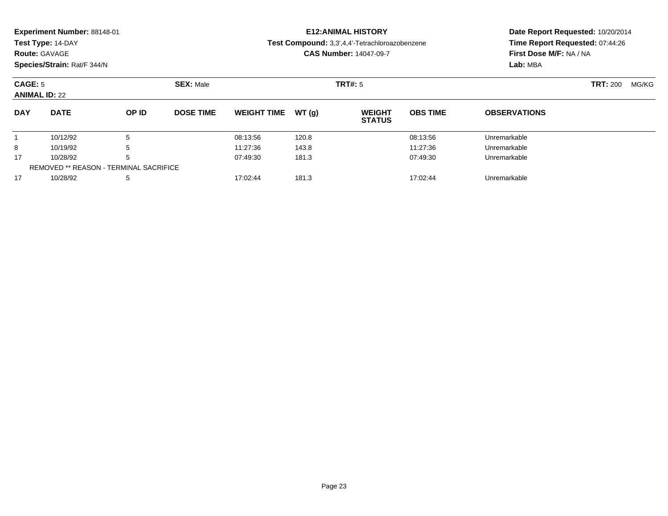|            | <b>Experiment Number: 88148-01</b><br>Test Type: 14-DAY<br><b>Route: GAVAGE</b><br>Species/Strain: Rat/F 344/N |  |                  |                     | <b>E12:ANIMAL HISTORY</b><br>Test Compound: 3,3',4,4'-Tetrachloroazobenzene<br><b>CAS Number: 14047-09-7</b> | Date Report Requested: 10/20/2014<br>Time Report Requested: 07:44:26<br>First Dose M/F: NA / NA<br>Lab: MBA |                     |                          |
|------------|----------------------------------------------------------------------------------------------------------------|--|------------------|---------------------|--------------------------------------------------------------------------------------------------------------|-------------------------------------------------------------------------------------------------------------|---------------------|--------------------------|
| CAGE: 5    | <b>ANIMAL ID: 22</b>                                                                                           |  | <b>SEX: Male</b> |                     | TRT#: 5                                                                                                      |                                                                                                             |                     | <b>TRT: 200</b><br>MG/KG |
| <b>DAY</b> | <b>DATE</b><br>OP ID<br><b>DOSE TIME</b>                                                                       |  |                  | WEIGHT TIME $WT(q)$ | <b>WEIGHT</b><br><b>STATUS</b>                                                                               | <b>OBS TIME</b>                                                                                             | <b>OBSERVATIONS</b> |                          |

10/12/92 <sup>5</sup> 08:13:56 120.8 08:13:56 Unremarkable

8 10/19/92 5 5 11:27:36 143.8 11:27:36 15 11:27:36 143.8 11:27:36 Unremarkable

10/28/92 <sup>5</sup> 07:49:30 181.3 07:49:30 Unremarkable

10/28/92 <sup>5</sup> 17:02:44 181.3 17:02:44 Unremarkable

1

8

17

17

REMOVED \*\* REASON - TERMINAL SACRIFICE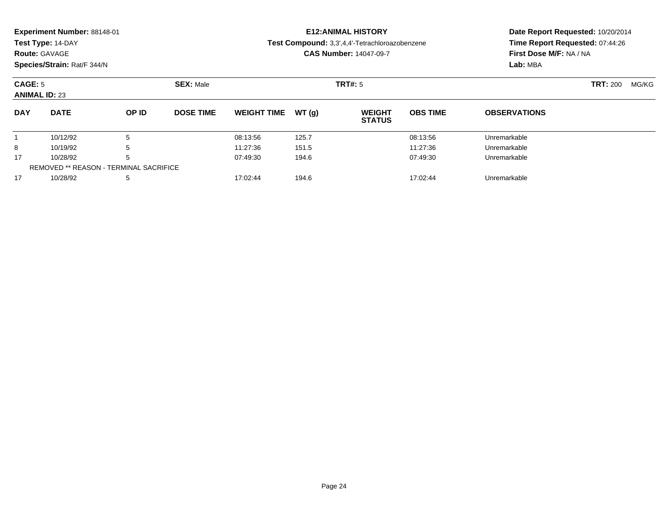|            | Experiment Number: 88148-01<br>Test Type: 14-DAY<br><b>Route: GAVAGE</b><br>Species/Strain: Rat/F 344/N |       |                  |                               |         | <b>E12: ANIMAL HISTORY</b><br>Test Compound: 3,3',4,4'-Tetrachloroazobenzene<br><b>CAS Number: 14047-09-7</b> | Date Report Requested: 10/20/2014<br>Time Report Requested: 07:44:26<br>First Dose M/F: NA / NA<br>Lab: MBA |                     |  |  |
|------------|---------------------------------------------------------------------------------------------------------|-------|------------------|-------------------------------|---------|---------------------------------------------------------------------------------------------------------------|-------------------------------------------------------------------------------------------------------------|---------------------|--|--|
| CAGE: 5    | <b>ANIMAL ID: 23</b>                                                                                    |       | <b>SEX: Male</b> |                               | TRT#: 5 |                                                                                                               | <b>TRT:</b> 200                                                                                             | MG/KG               |  |  |
| <b>DAY</b> | <b>DATE</b>                                                                                             | OP ID | <b>DOSE TIME</b> | <b>WEIGHT TIME</b>            | WT(q)   | <b>WEIGHT</b><br><b>STATUS</b>                                                                                | <b>OBS TIME</b>                                                                                             | <b>OBSERVATIONS</b> |  |  |
|            | 5<br>10/12/92                                                                                           |       |                  | 08:13:56                      | 125.7   |                                                                                                               | 08:13:56                                                                                                    | Unremarkable        |  |  |
| 8          | 5<br>10/19/92                                                                                           |       |                  | 11:27:36<br>151.5<br>11:27:36 |         |                                                                                                               |                                                                                                             | Unremarkable        |  |  |
| 17         | 5<br>10/28/92                                                                                           |       |                  | 194.6<br>07:49:30<br>07:49:30 |         |                                                                                                               |                                                                                                             | Unremarkable        |  |  |

10/28/92 <sup>5</sup> 17:02:44 194.6 17:02:44 Unremarkable

REMOVED \*\* REASON - TERMINAL SACRIFICE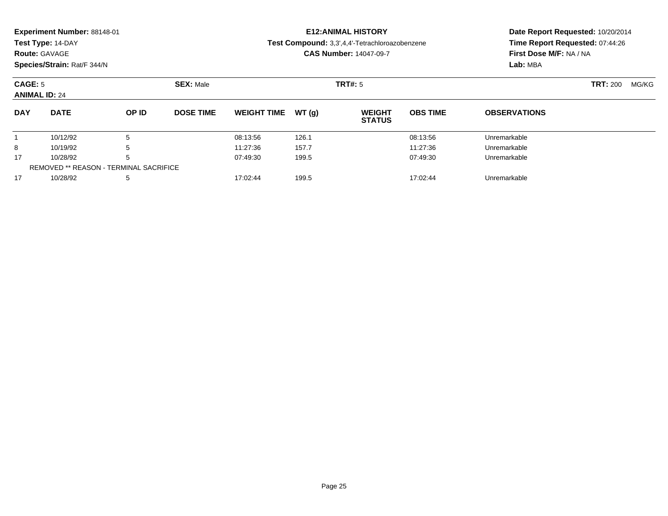|            | Experiment Number: 88148-01<br>Test Type: 14-DAY<br><b>Route: GAVAGE</b><br>Species/Strain: Rat/F 344/N |       |                  | <b>E12: ANIMAL HISTORY</b><br>Test Compound: 3,3',4,4'-Tetrachloroazobenzene<br><b>CAS Number: 14047-09-7</b> |       |                                |                 | Date Report Requested: 10/20/2014<br>Time Report Requested: 07:44:26<br>First Dose M/F: NA / NA<br>Lab: MBA |  |  |
|------------|---------------------------------------------------------------------------------------------------------|-------|------------------|---------------------------------------------------------------------------------------------------------------|-------|--------------------------------|-----------------|-------------------------------------------------------------------------------------------------------------|--|--|
|            | CAGE: 5<br><b>SEX: Male</b><br><b>ANIMAL ID: 24</b>                                                     |       |                  |                                                                                                               |       | TRT#: 5                        |                 | <b>TRT: 200</b><br>MG/KG                                                                                    |  |  |
| <b>DAY</b> | <b>DATE</b>                                                                                             | OP ID | <b>DOSE TIME</b> | <b>WEIGHT TIME</b>                                                                                            | WT(q) | <b>WEIGHT</b><br><b>STATUS</b> | <b>OBS TIME</b> | <b>OBSERVATIONS</b>                                                                                         |  |  |
|            | 10/12/92                                                                                                | 5     |                  | 08:13:56                                                                                                      | 126.1 |                                | 08:13:56        | Unremarkable                                                                                                |  |  |
| 8          | 5<br>10/19/92                                                                                           |       |                  | 11:27:36                                                                                                      | 157.7 |                                | 11:27:36        | Unremarkable                                                                                                |  |  |
| 17         | 5<br>10/28/92                                                                                           |       |                  | 199.5<br>07:49:30<br>07:49:30                                                                                 |       |                                | Unremarkable    |                                                                                                             |  |  |

10/28/92 <sup>5</sup> 17:02:44 199.5 17:02:44 Unremarkable

REMOVED \*\* REASON - TERMINAL SACRIFICE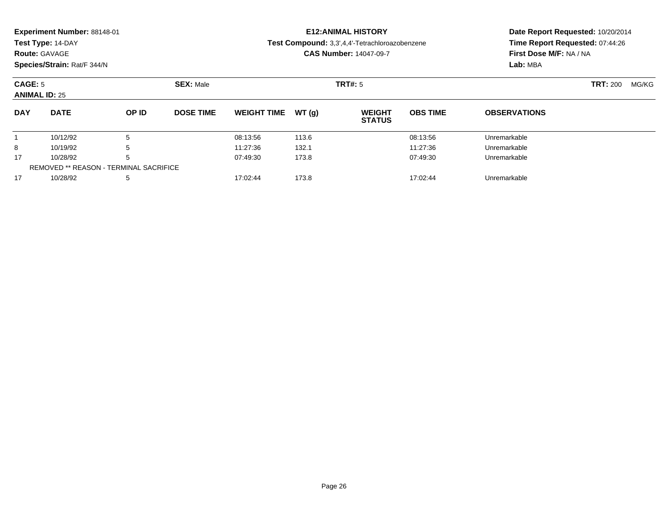| Experiment Number: 88148-01<br>Test Type: 14-DAY<br><b>Route: GAVAGE</b><br>Species/Strain: Rat/F 344/N |                      |        |                  | <b>E12: ANIMAL HISTORY</b><br>Test Compound: 3,3',4,4'-Tetrachloroazobenzene<br><b>CAS Number: 14047-09-7</b> |                |                                |                      | Date Report Requested: 10/20/2014<br>Time Report Requested: 07:44:26<br>First Dose M/F: NA / NA<br>Lab: MBA |  |
|---------------------------------------------------------------------------------------------------------|----------------------|--------|------------------|---------------------------------------------------------------------------------------------------------------|----------------|--------------------------------|----------------------|-------------------------------------------------------------------------------------------------------------|--|
| CAGE: 5                                                                                                 | <b>ANIMAL ID: 25</b> |        | <b>SEX: Male</b> |                                                                                                               |                | TRT#: 5                        |                      | <b>TRT: 200</b><br>MG/KG                                                                                    |  |
| <b>DAY</b>                                                                                              | <b>DATE</b>          | OP ID  | <b>DOSE TIME</b> | <b>WEIGHT TIME</b>                                                                                            | WT(a)          | <b>WEIGHT</b><br><b>STATUS</b> | <b>OBS TIME</b>      | <b>OBSERVATIONS</b>                                                                                         |  |
| 8                                                                                                       | 10/12/92<br>10/19/92 | 5<br>đ |                  | 08:13:56<br>11:27:36                                                                                          | 113.6<br>132.1 |                                | 08:13:56<br>11:27:36 | Unremarkable<br>Unremarkable                                                                                |  |

10/28/92 <sup>5</sup> 07:49:30 173.8 07:49:30 Unremarkable

10/28/92 <sup>5</sup> 17:02:44 173.8 17:02:44 Unremarkable

17

17

REMOVED \*\* REASON - TERMINAL SACRIFICE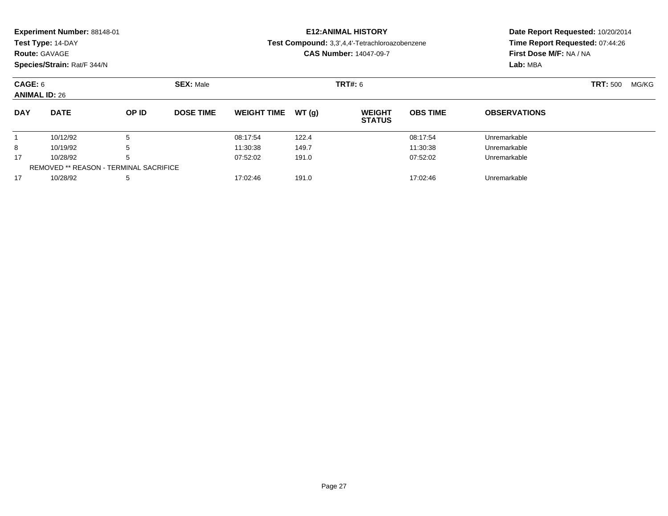|                                 | Experiment Number: 88148-01<br>Test Type: 14-DAY<br><b>Route: GAVAGE</b><br>Species/Strain: Rat/F 344/N |       |                  | <b>E12: ANIMAL HISTORY</b><br>Test Compound: 3,3',4,4'-Tetrachloroazobenzene<br><b>CAS Number: 14047-09-7</b> |                          |                                |                 | Date Report Requested: 10/20/2014<br>Time Report Requested: 07:44:26<br>First Dose M/F: NA / NA<br>Lab: MBA |  |  |
|---------------------------------|---------------------------------------------------------------------------------------------------------|-------|------------------|---------------------------------------------------------------------------------------------------------------|--------------------------|--------------------------------|-----------------|-------------------------------------------------------------------------------------------------------------|--|--|
| CAGE: 6<br><b>ANIMAL ID: 26</b> |                                                                                                         |       | <b>SEX: Male</b> |                                                                                                               | <b>TRT: 500</b><br>MG/KG |                                |                 |                                                                                                             |  |  |
| <b>DAY</b>                      | <b>DATE</b>                                                                                             | OP ID | <b>DOSE TIME</b> | <b>WEIGHT TIME</b>                                                                                            | WT(q)                    | <b>WEIGHT</b><br><b>STATUS</b> | <b>OBS TIME</b> | <b>OBSERVATIONS</b>                                                                                         |  |  |
|                                 | 10/12/92                                                                                                | 5     |                  | 08:17:54                                                                                                      | 122.4                    |                                | 08:17:54        | Unremarkable                                                                                                |  |  |
| 8                               | 10/19/92<br>5                                                                                           |       |                  | 11:30:38                                                                                                      | 149.7                    |                                | 11:30:38        | Unremarkable                                                                                                |  |  |
| 17                              | 5<br>10/28/92                                                                                           |       |                  | 191.0<br>07:52:02<br>07:52:02                                                                                 |                          |                                |                 | Unremarkable                                                                                                |  |  |

10/28/92 <sup>5</sup> 17:02:46 191.0 17:02:46 Unremarkable

REMOVED \*\* REASON - TERMINAL SACRIFICE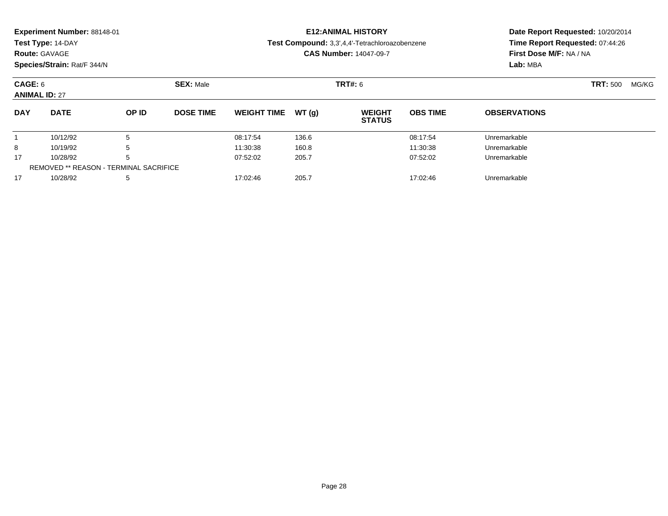|                     | Experiment Number: 88148-01<br>Test Type: 14-DAY<br><b>Route: GAVAGE</b><br>Species/Strain: Rat/F 344/N |       |                               |                    |       | <b>E12: ANIMAL HISTORY</b><br>Test Compound: 3,3',4,4'-Tetrachloroazobenzene<br><b>CAS Number: 14047-09-7</b> | Date Report Requested: 10/20/2014<br>Time Report Requested: 07:44:26<br>First Dose M/F: NA / NA<br>Lab: MBA |                     |       |  |
|---------------------|---------------------------------------------------------------------------------------------------------|-------|-------------------------------|--------------------|-------|---------------------------------------------------------------------------------------------------------------|-------------------------------------------------------------------------------------------------------------|---------------------|-------|--|
|                     | CAGE: 6<br><b>SEX: Male</b><br><b>ANIMAL ID: 27</b>                                                     |       |                               |                    |       | <b>TRT#: 6</b>                                                                                                | <b>TRT: 500</b>                                                                                             |                     | MG/KG |  |
| <b>DAY</b>          | <b>DATE</b>                                                                                             | OP ID | <b>DOSE TIME</b>              | <b>WEIGHT TIME</b> | WT(q) | <b>WEIGHT</b><br><b>STATUS</b>                                                                                | <b>OBS TIME</b>                                                                                             | <b>OBSERVATIONS</b> |       |  |
|                     | 10/12/92                                                                                                | 5     |                               | 08:17:54           | 136.6 |                                                                                                               | 08:17:54                                                                                                    | Unremarkable        |       |  |
| 8                   | 10/19/92<br>5                                                                                           |       |                               | 11:30:38           | 160.8 |                                                                                                               | 11:30:38                                                                                                    | Unremarkable        |       |  |
| 17<br>10/28/92<br>h |                                                                                                         |       | 07:52:02<br>205.7<br>07:52:02 |                    |       | Unremarkable                                                                                                  |                                                                                                             |                     |       |  |
|                     | <b>REMOVED ** REASON - TERMINAL SACRIFICE</b>                                                           |       |                               |                    |       |                                                                                                               |                                                                                                             |                     |       |  |

10/28/92 <sup>5</sup> 17:02:46 205.7 17:02:46 Unremarkable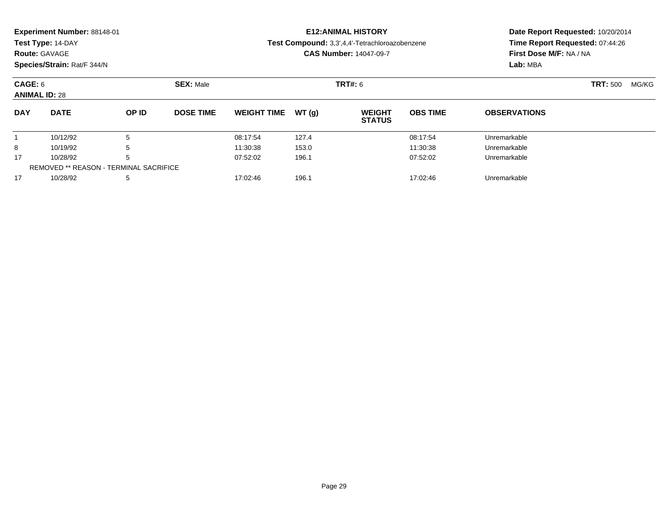|                      | Experiment Number: 88148-01 |       |                               | <b>E12: ANIMAL HISTORY</b> | Date Report Requested: 10/20/2014 |                                                |                 |                                 |       |  |
|----------------------|-----------------------------|-------|-------------------------------|----------------------------|-----------------------------------|------------------------------------------------|-----------------|---------------------------------|-------|--|
|                      | Test Type: 14-DAY           |       |                               |                            |                                   | Test Compound: 3,3',4,4'-Tetrachloroazobenzene |                 | Time Report Requested: 07:44:26 |       |  |
|                      | <b>Route: GAVAGE</b>        |       |                               |                            |                                   | <b>CAS Number: 14047-09-7</b>                  |                 | First Dose M/F: NA / NA         |       |  |
|                      | Species/Strain: Rat/F 344/N |       |                               |                            |                                   |                                                |                 | Lab: MBA                        |       |  |
|                      | CAGE: 6<br><b>SEX: Male</b> |       |                               |                            |                                   | <b>TRT#: 6</b>                                 |                 | <b>TRT: 500</b>                 | MG/KG |  |
| <b>ANIMAL ID: 28</b> |                             |       |                               |                            |                                   |                                                |                 |                                 |       |  |
| <b>DAY</b>           | <b>DATE</b>                 | OP ID | <b>DOSE TIME</b>              | <b>WEIGHT TIME</b>         | WT (a)                            | <b>WEIGHT</b><br><b>STATUS</b>                 | <b>OBS TIME</b> | <b>OBSERVATIONS</b>             |       |  |
|                      | 10/12/92                    | 5     |                               | 08:17:54                   | 127.4                             |                                                | 08:17:54        | Unremarkable                    |       |  |
| 8<br>10/19/92<br>5   |                             |       | 11:30:38<br>153.0<br>11:30:38 |                            |                                   |                                                | Unremarkable    |                                 |       |  |

10/28/92 <sup>5</sup> 07:52:02 196.1 07:52:02 Unremarkable

10/28/92 <sup>5</sup> 17:02:46 196.1 17:02:46 Unremarkable

17

17

REMOVED \*\* REASON - TERMINAL SACRIFICE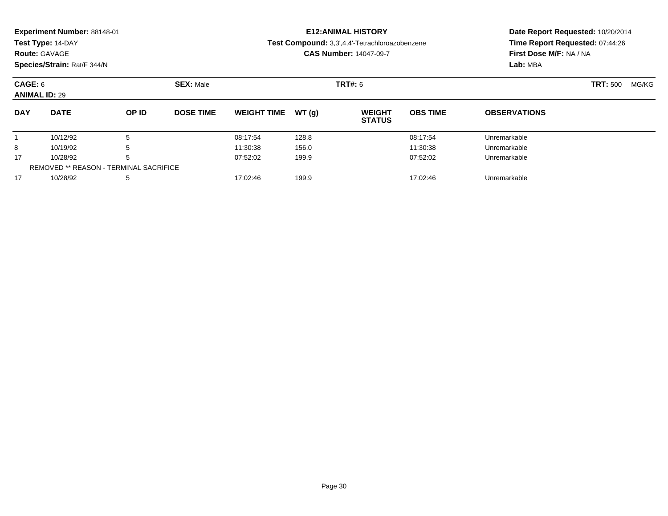|            | Experiment Number: 88148-01<br>Test Type: 14-DAY<br><b>Route: GAVAGE</b><br>Species/Strain: Rat/F 344/N |       |                  | <b>E12: ANIMAL HISTORY</b><br>Test Compound: 3,3',4,4'-Tetrachloroazobenzene<br><b>CAS Number: 14047-09-7</b> |       |                                |                 | Date Report Requested: 10/20/2014<br>Time Report Requested: 07:44:26<br>First Dose M/F: NA / NA<br>Lab: MBA |  |  |
|------------|---------------------------------------------------------------------------------------------------------|-------|------------------|---------------------------------------------------------------------------------------------------------------|-------|--------------------------------|-----------------|-------------------------------------------------------------------------------------------------------------|--|--|
|            | CAGE: 6<br><b>SEX: Male</b><br><b>ANIMAL ID: 29</b>                                                     |       |                  |                                                                                                               |       | <b>TRT#: 6</b>                 |                 | <b>TRT: 500</b><br>MG/KG                                                                                    |  |  |
| <b>DAY</b> | <b>DATE</b>                                                                                             | OP ID | <b>DOSE TIME</b> | <b>WEIGHT TIME</b>                                                                                            | WT(g) | <b>WEIGHT</b><br><b>STATUS</b> | <b>OBS TIME</b> | <b>OBSERVATIONS</b>                                                                                         |  |  |
|            | 10/12/92                                                                                                | 5     |                  | 08:17:54                                                                                                      | 128.8 |                                | 08:17:54        | Unremarkable                                                                                                |  |  |
| 8          | 10/19/92<br>5                                                                                           |       |                  | 11:30:38                                                                                                      | 156.0 |                                | 11:30:38        | Unremarkable                                                                                                |  |  |
| 17         | 10/28/92<br>5                                                                                           |       |                  | 07:52:02<br>199.9<br>07:52:02                                                                                 |       |                                |                 | Unremarkable                                                                                                |  |  |

10/28/92 <sup>5</sup> 17:02:46 199.9 17:02:46 Unremarkable

REMOVED \*\* REASON - TERMINAL SACRIFICE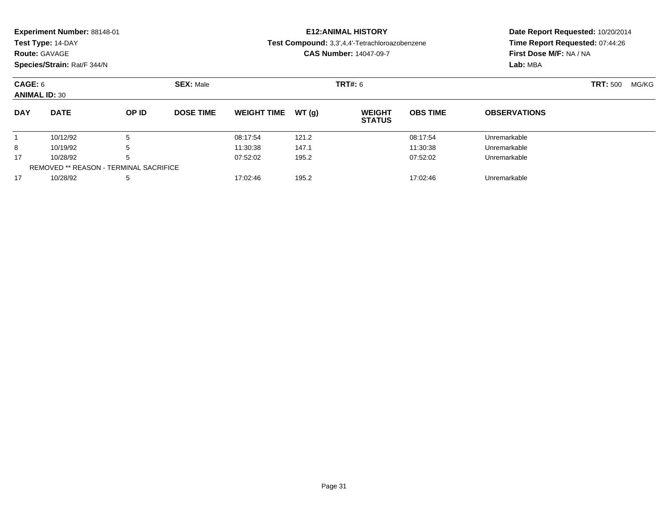|                     | Experiment Number: 88148-01<br>Test Type: 14-DAY<br><b>Route: GAVAGE</b><br>Species/Strain: Rat/F 344/N |       |                               |                    |                | <b>E12: ANIMAL HISTORY</b><br>Test Compound: 3,3',4,4'-Tetrachloroazobenzene<br><b>CAS Number: 14047-09-7</b> | Date Report Requested: 10/20/2014<br>Time Report Requested: 07:44:26<br>First Dose M/F: NA / NA<br>Lab: MBA |                     |  |  |
|---------------------|---------------------------------------------------------------------------------------------------------|-------|-------------------------------|--------------------|----------------|---------------------------------------------------------------------------------------------------------------|-------------------------------------------------------------------------------------------------------------|---------------------|--|--|
|                     |                                                                                                         |       |                               |                    |                |                                                                                                               |                                                                                                             |                     |  |  |
| CAGE: 6             | <b>ANIMAL ID: 30</b>                                                                                    |       | <b>SEX: Male</b>              |                    | <b>TRT#: 6</b> | <b>TRT: 500</b><br>MG/KG                                                                                      |                                                                                                             |                     |  |  |
| <b>DAY</b>          | <b>DATE</b>                                                                                             | OP ID | <b>DOSE TIME</b>              | <b>WEIGHT TIME</b> | WT(q)          | <b>WEIGHT</b><br><b>STATUS</b>                                                                                | <b>OBS TIME</b>                                                                                             | <b>OBSERVATIONS</b> |  |  |
|                     | 10/12/92                                                                                                | 5     |                               | 08:17:54           | 121.2          |                                                                                                               | 08:17:54                                                                                                    | Unremarkable        |  |  |
| 8                   | 10/19/92<br>5                                                                                           |       |                               | 11:30:38           | 147.1          |                                                                                                               | 11:30:38                                                                                                    | Unremarkable        |  |  |
| 17<br>10/28/92<br>h |                                                                                                         |       | 07:52:02<br>195.2<br>07:52:02 |                    |                | Unremarkable                                                                                                  |                                                                                                             |                     |  |  |
|                     | <b>REMOVED ** REASON - TERMINAL SACRIFICE</b>                                                           |       |                               |                    |                |                                                                                                               |                                                                                                             |                     |  |  |

10/28/92 <sup>5</sup> 17:02:46 195.2 17:02:46 Unremarkable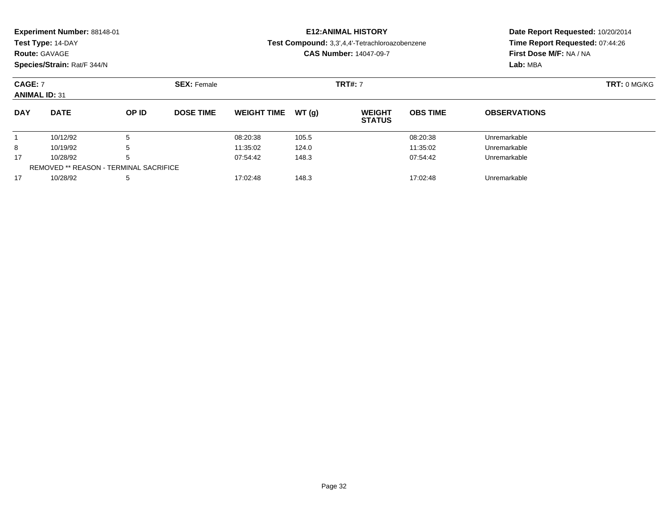|                                        | Experiment Number: 88148-01<br>Test Type: 14-DAY<br><b>Route: GAVAGE</b><br>Species/Strain: Rat/F 344/N |       |                               |                    |       | <b>E12: ANIMAL HISTORY</b><br>Test Compound: 3,3',4,4'-Tetrachloroazobenzene<br><b>CAS Number: 14047-09-7</b> | Date Report Requested: 10/20/2014<br>Time Report Requested: 07:44:26<br>First Dose M/F: NA / NA<br>Lab: MBA |                     |  |
|----------------------------------------|---------------------------------------------------------------------------------------------------------|-------|-------------------------------|--------------------|-------|---------------------------------------------------------------------------------------------------------------|-------------------------------------------------------------------------------------------------------------|---------------------|--|
| <b>CAGE: 7</b><br><b>ANIMAL ID: 31</b> |                                                                                                         |       | <b>SEX: Female</b>            |                    |       | <b>TRT#: 7</b>                                                                                                |                                                                                                             | TRT: 0 MG/KG        |  |
| <b>DAY</b>                             | <b>DATE</b>                                                                                             | OP ID | <b>DOSE TIME</b>              | <b>WEIGHT TIME</b> | WT(q) | <b>WEIGHT</b><br><b>STATUS</b>                                                                                | <b>OBS TIME</b>                                                                                             | <b>OBSERVATIONS</b> |  |
|                                        | 10/12/92                                                                                                | 5     |                               | 08:20:38           | 105.5 |                                                                                                               | 08:20:38                                                                                                    | Unremarkable        |  |
| 8                                      | 5<br>10/19/92                                                                                           |       |                               | 11:35:02           | 124.0 |                                                                                                               | 11:35:02                                                                                                    | Unremarkable        |  |
| 17<br>10/28/92<br>5                    |                                                                                                         |       | 07:54:42<br>07:54:42<br>148.3 |                    |       | Unremarkable                                                                                                  |                                                                                                             |                     |  |
|                                        | <b>REMOVED ** REASON - TERMINAL SACRIFICE</b>                                                           |       |                               |                    |       |                                                                                                               |                                                                                                             |                     |  |

10/28/92 <sup>5</sup> 17:02:48 148.3 17:02:48 Unremarkable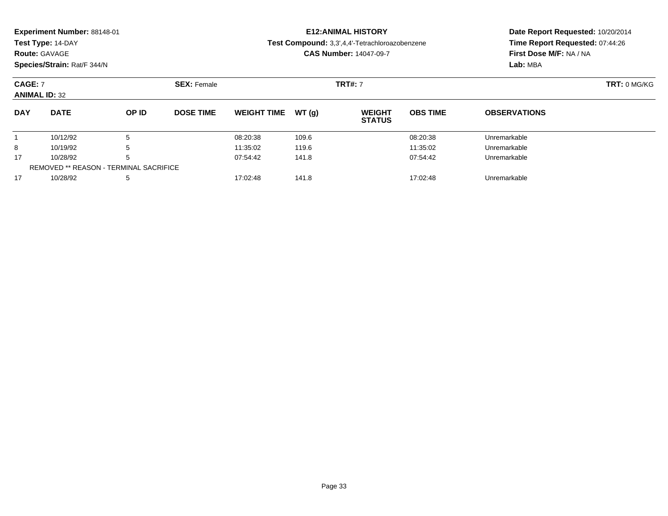|                                               | Experiment Number: 88148-01<br>Test Type: 14-DAY<br><b>Route: GAVAGE</b><br>Species/Strain: Rat/F 344/N |       |                               |                    |                | <b>E12: ANIMAL HISTORY</b><br>Test Compound: 3,3',4,4'-Tetrachloroazobenzene<br><b>CAS Number: 14047-09-7</b> | Date Report Requested: 10/20/2014<br>Time Report Requested: 07:44:26<br>First Dose M/F: NA / NA<br>Lab: MBA |                     |  |
|-----------------------------------------------|---------------------------------------------------------------------------------------------------------|-------|-------------------------------|--------------------|----------------|---------------------------------------------------------------------------------------------------------------|-------------------------------------------------------------------------------------------------------------|---------------------|--|
| <b>CAGE: 7</b><br><b>ANIMAL ID: 32</b>        |                                                                                                         |       | <b>SEX: Female</b>            |                    | <b>TRT#: 7</b> | TRT: 0 MG/KG                                                                                                  |                                                                                                             |                     |  |
| <b>DAY</b>                                    | <b>DATE</b>                                                                                             | OP ID | <b>DOSE TIME</b>              | <b>WEIGHT TIME</b> | WT(g)          | <b>WEIGHT</b><br><b>STATUS</b>                                                                                | <b>OBS TIME</b>                                                                                             | <b>OBSERVATIONS</b> |  |
|                                               | 10/12/92                                                                                                | 5     |                               | 08:20:38           | 109.6          |                                                                                                               | 08:20:38                                                                                                    | Unremarkable        |  |
| 8                                             | 10/19/92<br>5                                                                                           |       |                               | 11:35:02           | 119.6          |                                                                                                               | 11:35:02                                                                                                    | Unremarkable        |  |
| 17<br>10/28/92<br>5                           |                                                                                                         |       | 07:54:42<br>141.8<br>07:54:42 |                    |                | Unremarkable                                                                                                  |                                                                                                             |                     |  |
| <b>REMOVED ** REASON - TERMINAL SACRIFICE</b> |                                                                                                         |       |                               |                    |                |                                                                                                               |                                                                                                             |                     |  |

10/28/92 <sup>5</sup> 17:02:48 141.8 17:02:48 Unremarkable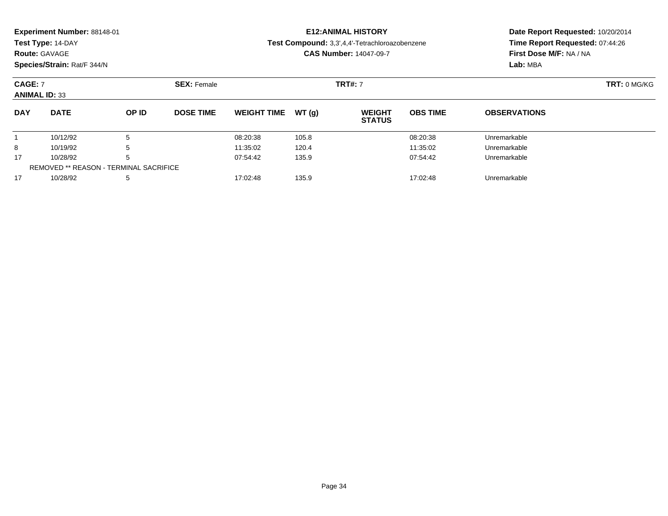|                                        | Experiment Number: 88148-01<br>Test Type: 14-DAY<br><b>Route: GAVAGE</b><br>Species/Strain: Rat/F 344/N |       |                               |                    |        | <b>E12: ANIMAL HISTORY</b><br>Test Compound: 3,3',4,4'-Tetrachloroazobenzene<br><b>CAS Number: 14047-09-7</b> | Date Report Requested: 10/20/2014<br>Time Report Requested: 07:44:26<br>First Dose M/F: NA / NA<br>Lab: MBA |                     |  |
|----------------------------------------|---------------------------------------------------------------------------------------------------------|-------|-------------------------------|--------------------|--------|---------------------------------------------------------------------------------------------------------------|-------------------------------------------------------------------------------------------------------------|---------------------|--|
| <b>CAGE: 7</b><br><b>ANIMAL ID: 33</b> |                                                                                                         |       | <b>SEX: Female</b>            |                    |        | <b>TRT#: 7</b>                                                                                                | TRT: 0 MG/KG                                                                                                |                     |  |
| <b>DAY</b>                             | <b>DATE</b>                                                                                             | OP ID | <b>DOSE TIME</b>              | <b>WEIGHT TIME</b> | WT (g) | <b>WEIGHT</b><br><b>STATUS</b>                                                                                | <b>OBS TIME</b>                                                                                             | <b>OBSERVATIONS</b> |  |
|                                        | 10/12/92                                                                                                | 5     |                               | 08:20:38           | 105.8  |                                                                                                               | 08:20:38                                                                                                    | Unremarkable        |  |
| 8                                      | 10/19/92<br>5                                                                                           |       |                               | 11:35:02           | 120.4  |                                                                                                               | 11:35:02                                                                                                    | Unremarkable        |  |
| 17<br>5<br>10/28/92                    |                                                                                                         |       | 07:54:42<br>135.9<br>07:54:42 |                    |        | Unremarkable                                                                                                  |                                                                                                             |                     |  |
|                                        | <b>REMOVED ** REASON - TERMINAL SACRIFICE</b>                                                           |       |                               |                    |        |                                                                                                               |                                                                                                             |                     |  |

10/28/92 <sup>5</sup> 17:02:48 135.9 17:02:48 Unremarkable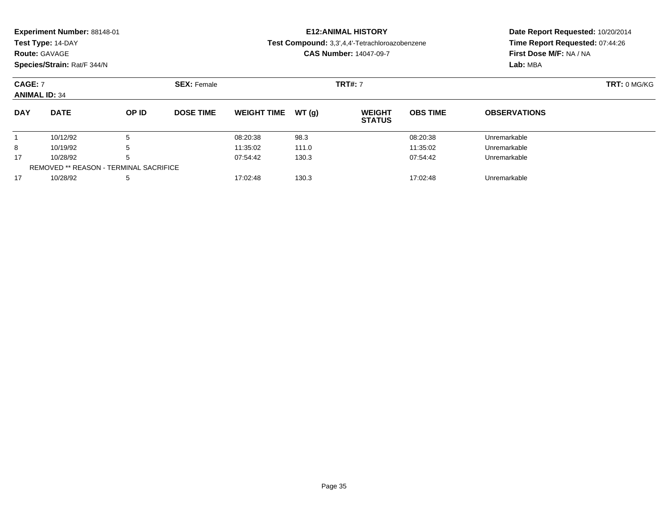|                                               | Experiment Number: 88148-01<br>Test Type: 14-DAY<br><b>Route: GAVAGE</b><br>Species/Strain: Rat/F 344/N |       |                    |                               |       | <b>E12: ANIMAL HISTORY</b><br>Test Compound: 3,3',4,4'-Tetrachloroazobenzene<br><b>CAS Number: 14047-09-7</b> | Date Report Requested: 10/20/2014<br>Time Report Requested: 07:44:26<br>First Dose M/F: NA / NA<br>Lab: MBA |                     |  |
|-----------------------------------------------|---------------------------------------------------------------------------------------------------------|-------|--------------------|-------------------------------|-------|---------------------------------------------------------------------------------------------------------------|-------------------------------------------------------------------------------------------------------------|---------------------|--|
| <b>CAGE: 7</b><br><b>ANIMAL ID: 34</b>        |                                                                                                         |       | <b>SEX: Female</b> |                               |       | <b>TRT#: 7</b>                                                                                                |                                                                                                             | TRT: 0 MG/KG        |  |
| <b>DAY</b>                                    | <b>DATE</b>                                                                                             | OP ID | <b>DOSE TIME</b>   | <b>WEIGHT TIME</b>            | WT(g) | <b>WEIGHT</b><br><b>STATUS</b>                                                                                | <b>OBS TIME</b>                                                                                             | <b>OBSERVATIONS</b> |  |
|                                               | 10/12/92                                                                                                | 5     |                    | 08:20:38                      | 98.3  |                                                                                                               | 08:20:38                                                                                                    | Unremarkable        |  |
| 8                                             | 5<br>10/19/92                                                                                           |       |                    | 11:35:02                      | 111.0 |                                                                                                               | 11:35:02                                                                                                    | Unremarkable        |  |
| 17                                            | 5<br>10/28/92                                                                                           |       |                    | 130.3<br>07:54:42<br>07:54:42 |       |                                                                                                               | Unremarkable                                                                                                |                     |  |
| <b>REMOVED ** REASON - TERMINAL SACRIFICE</b> |                                                                                                         |       |                    |                               |       |                                                                                                               |                                                                                                             |                     |  |

10/28/92 <sup>5</sup> 17:02:48 130.3 17:02:48 Unremarkable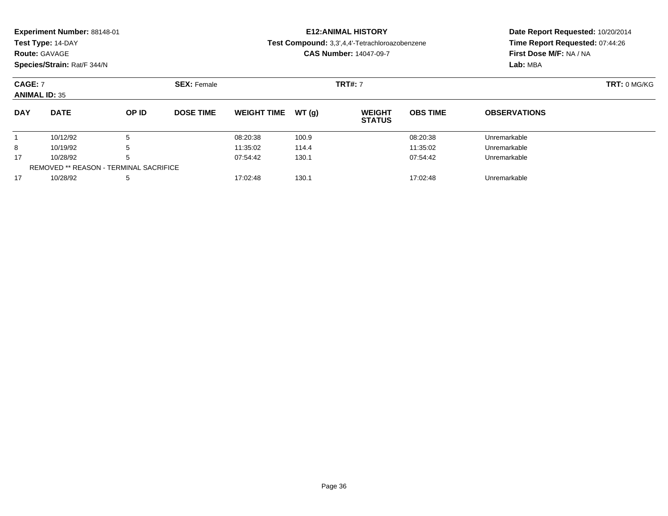| <b>Route: GAVAGE</b>                   | Experiment Number: 88148-01<br>Test Type: 14-DAY<br>Species/Strain: Rat/F 344/N |              |                               | <b>E12: ANIMAL HISTORY</b><br>Test Compound: 3,3',4,4'-Tetrachloroazobenzene<br><b>CAS Number: 14047-09-7</b> |       |                                |                 | Date Report Requested: 10/20/2014<br>Time Report Requested: 07:44:26<br>First Dose M/F: NA / NA<br>Lab: MBA |
|----------------------------------------|---------------------------------------------------------------------------------|--------------|-------------------------------|---------------------------------------------------------------------------------------------------------------|-------|--------------------------------|-----------------|-------------------------------------------------------------------------------------------------------------|
| <b>CAGE: 7</b><br><b>ANIMAL ID: 35</b> |                                                                                 |              | <b>SEX: Female</b>            |                                                                                                               |       | <b>TRT#: 7</b>                 |                 | TRT: 0 MG/KG                                                                                                |
| <b>DAY</b>                             | <b>DATE</b>                                                                     | <b>OP ID</b> | <b>DOSE TIME</b>              | <b>WEIGHT TIME</b>                                                                                            | WT(q) | <b>WEIGHT</b><br><b>STATUS</b> | <b>OBS TIME</b> | <b>OBSERVATIONS</b>                                                                                         |
|                                        | 10/12/92                                                                        | 5            |                               | 08:20:38                                                                                                      | 100.9 |                                | 08:20:38        | Unremarkable                                                                                                |
| 8<br>10/19/92<br>5                     |                                                                                 |              |                               | 11:35:02                                                                                                      | 114.4 |                                | 11:35:02        | Unremarkable                                                                                                |
| 17<br>10/28/92<br>5                    |                                                                                 |              | 07:54:42<br>130.1<br>07:54:42 |                                                                                                               |       | Unremarkable                   |                 |                                                                                                             |

10/28/92 <sup>5</sup> 17:02:48 130.1 17:02:48 Unremarkable

REMOVED \*\* REASON - TERMINAL SACRIFICE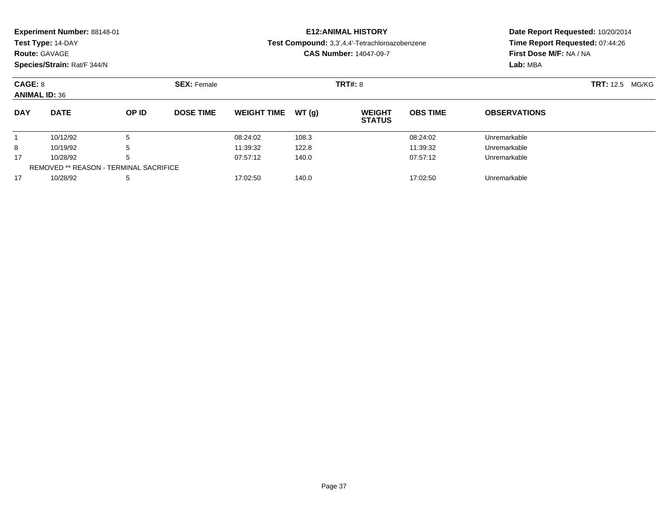| <b>Experiment Number: 88148-01</b> | <b>E12:ANIMAL HISTO</b>         |
|------------------------------------|---------------------------------|
| Test Type: 14-DAY                  | Test Compound: 3,3',4,4'-Tetrac |

#### **Route:** GAVAGE

**Species/Strain:** Rat/F 344/N

## **ORY**

#### **Test Compound:** 3,3',4,4'-Tetrachloroazobenzene

**CAS Number:** 14047-09-7

## **Date Report Requested:** 10/20/2014 **Time Report Requested:** 07:44:26**First Dose M/F:** NA / NA**Lab:** MBA

| CAGE: 8<br><b>ANIMAL ID: 36</b> |                                               |              | <b>SEX: Female</b> |                    |       | <b>TRT#: 8</b>                 | <b>TRT:</b> 12.5 MG/KG |                     |  |
|---------------------------------|-----------------------------------------------|--------------|--------------------|--------------------|-------|--------------------------------|------------------------|---------------------|--|
| <b>DAY</b>                      | <b>DATE</b>                                   | <b>OP ID</b> | <b>DOSE TIME</b>   | <b>WEIGHT TIME</b> | WT(g) | <b>WEIGHT</b><br><b>STATUS</b> | <b>OBS TIME</b>        | <b>OBSERVATIONS</b> |  |
|                                 | 10/12/92                                      | 5            |                    | 08:24:02           | 108.3 |                                | 08:24:02               | Unremarkable        |  |
| 8                               | 10/19/92                                      | 5            |                    | 11:39:32           | 122.8 |                                | 11:39:32               | Unremarkable        |  |
| 17                              | 10/28/92                                      | 5            |                    | 07:57:12           | 140.0 |                                | 07:57:12               | Unremarkable        |  |
|                                 | <b>REMOVED ** REASON - TERMINAL SACRIFICE</b> |              |                    |                    |       |                                |                        |                     |  |
| 17                              | 10/28/92                                      | 5            |                    | 17:02:50           | 140.0 |                                | 17:02:50               | Unremarkable        |  |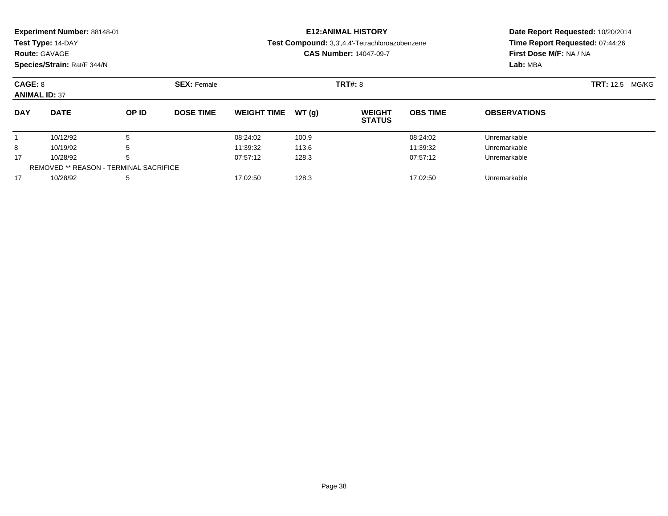| <b>DAY</b>                         | <b>DATE</b> | OP ID              | <b>DOSE TIME</b>              | WEIGHT TIME $WT(q)$                            |  | <b>WEIGHT</b><br><b>STATUS</b> | <b>OBS TIME</b>                                            | <b>OBSERVATIONS</b> |  |
|------------------------------------|-------------|--------------------|-------------------------------|------------------------------------------------|--|--------------------------------|------------------------------------------------------------|---------------------|--|
| <b>ANIMAL ID: 37</b>               |             |                    |                               |                                                |  |                                |                                                            |                     |  |
| CAGE: 8                            |             | <b>SEX: Female</b> | <b>TRT#: 8</b>                |                                                |  |                                | <b>TRT:</b> 12.5 MG/KG                                     |                     |  |
| Species/Strain: Rat/F 344/N        |             |                    |                               |                                                |  |                                | Lab: MBA                                                   |                     |  |
| <b>Route: GAVAGE</b>               |             |                    | <b>CAS Number: 14047-09-7</b> |                                                |  |                                | Time Report Requested: 07:44:26<br>First Dose M/F: NA / NA |                     |  |
| Test Type: 14-DAY                  |             |                    |                               | Test Compound: 3,3',4,4'-Tetrachloroazobenzene |  |                                |                                                            |                     |  |
| <b>Experiment Number: 88148-01</b> |             |                    |                               | <b>E12:ANIMAL HISTORY</b>                      |  |                                | Date Report Requested: 10/20/2014                          |                     |  |

10/12/92 <sup>5</sup> 08:24:02 100.9 08:24:02 Unremarkable

8 10/19/92 5 5 11:39:32 113.6 11:39:32 11:39:32 Jnremarkable

10/28/92 <sup>5</sup> 07:57:12 128.3 07:57:12 Unremarkable

10/28/92 <sup>5</sup> 17:02:50 128.3 17:02:50 Unremarkable

1

8

17

17

REMOVED \*\* REASON - TERMINAL SACRIFICE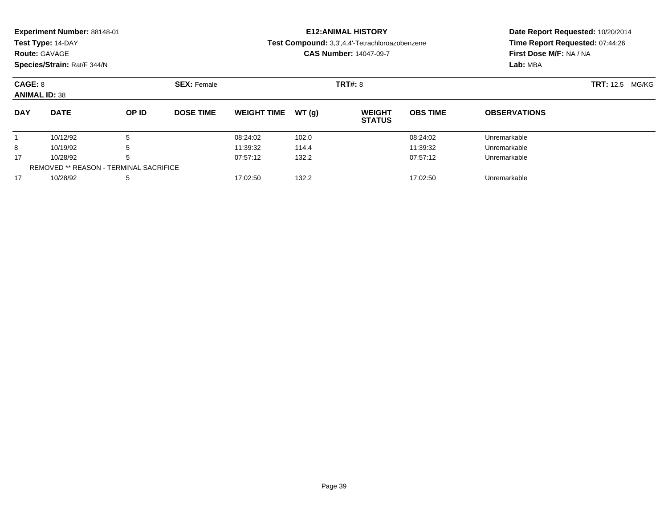| <b>Experiment Number: 88148-01</b> | <b>E12:ANIMAL HISTORY</b>                             |
|------------------------------------|-------------------------------------------------------|
| <b>Test Type: 14-DAY</b>           | <b>Test Compound:</b> 3,3',4,4'-Tetrachloroazobenzene |
| <b>Route: GAVAGE</b>               | <b>CAS Number: 14047-09-7</b>                         |

#### **Date Report Requested:** 10/20/2014**Time Report Requested:** 07:44:26**First Dose M/F:** NA / NA**Lab:** MBA

| CAGE: 8<br><b>ANIMAL ID: 38</b> |             |       | <b>SEX: Female</b> |                    |       | <b>TRT#: 8</b>                 | <b>TRT:</b> 12.5<br>MG/KG |                     |  |
|---------------------------------|-------------|-------|--------------------|--------------------|-------|--------------------------------|---------------------------|---------------------|--|
| <b>DAY</b>                      | <b>DATE</b> | OP ID | <b>DOSE TIME</b>   | <b>WEIGHT TIME</b> | WT(g) | <b>WEIGHT</b><br><b>STATUS</b> | <b>OBS TIME</b>           | <b>OBSERVATIONS</b> |  |
|                                 | 10/12/92    |       |                    | 08:24:02           | 102.0 |                                | 08:24:02                  | Unremarkable        |  |
| 8                               | 10/19/92    |       |                    | 11:39:32           | 114.4 |                                | 11:39:32                  | Unremarkable        |  |
| 17                              | 10/28/92    |       |                    | 07:57:12           | 132.2 |                                | 07:57:12                  | Unremarkable        |  |
|                                 |             |       |                    |                    |       |                                |                           |                     |  |

10/28/92 <sup>5</sup> 17:02:50 132.2 17:02:50 Unremarkable

17

**Species/Strain:** Rat/F 344/N

REMOVED \*\* REASON - TERMINAL SACRIFICE

Page 39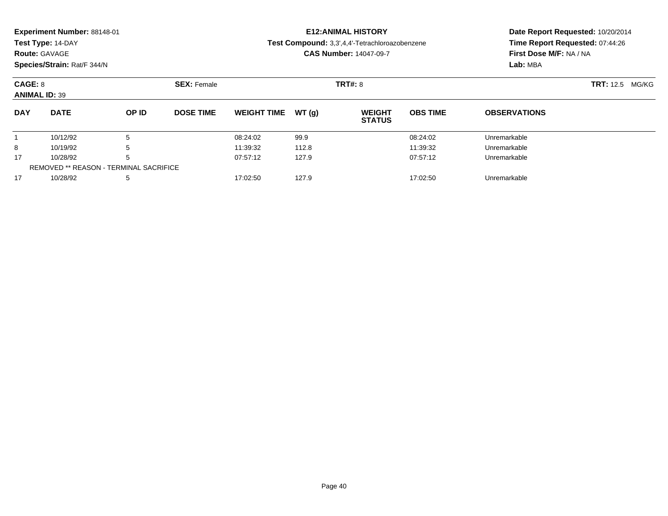| <b>Experiment Number: 88148-01</b> | <b>E12:ANIMAL HISTORY</b>                             |   |
|------------------------------------|-------------------------------------------------------|---|
| Test Type: 14-DAY                  | <b>Test Compound:</b> 3.3'.4.4'-Tetrachloroazobenzene |   |
| <b>Route: GAVAGE</b>               | <b>CAS Number: 14047-09-7</b>                         |   |
| <b>Species/Strain: Rat/F 344/N</b> |                                                       | Ŀ |

## **Date Report Requested:** 10/20/2014 **Time Report Requested:** 07:44:26**First Dose M/F:** NA / NA**Lab:** MBA

| CAGE: 8<br><b>ANIMAL ID: 39</b> |                                               |       | <b>SEX: Female</b> |                    |        |                                | <b>TRT#: 8</b>  |                     |  |  |
|---------------------------------|-----------------------------------------------|-------|--------------------|--------------------|--------|--------------------------------|-----------------|---------------------|--|--|
| <b>DAY</b>                      | <b>DATE</b>                                   | OP ID | <b>DOSE TIME</b>   | <b>WEIGHT TIME</b> | WT (q) | <b>WEIGHT</b><br><b>STATUS</b> | <b>OBS TIME</b> | <b>OBSERVATIONS</b> |  |  |
|                                 | 10/12/92                                      | 5     |                    | 08:24:02           | 99.9   |                                | 08:24:02        | Unremarkable        |  |  |
| 8                               | 10/19/92                                      | 5     |                    | 11:39:32           | 112.8  |                                | 11:39:32        | Unremarkable        |  |  |
| 17                              | 10/28/92                                      | 5     |                    | 07:57:12           | 127.9  |                                | 07:57:12        | Unremarkable        |  |  |
|                                 | <b>REMOVED ** REASON - TERMINAL SACRIFICE</b> |       |                    |                    |        |                                |                 |                     |  |  |
| 17                              | 10/28/92                                      | 5     |                    | 17:02:50           | 127.9  |                                | 17:02:50        | Unremarkable        |  |  |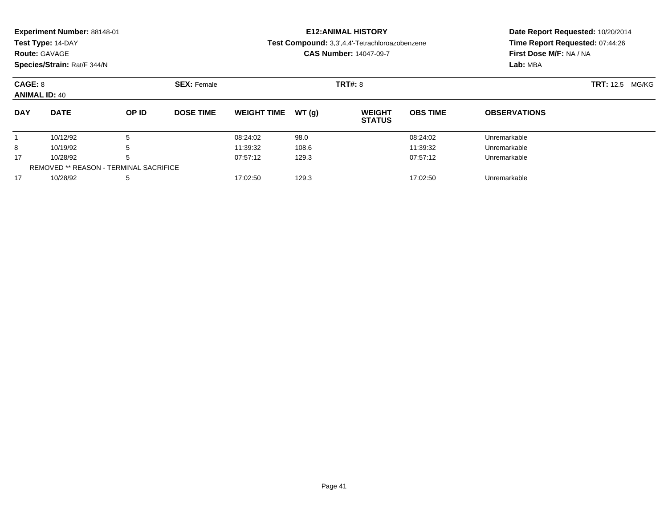| <b>Experiment Number: 88148-01</b><br>Test Type: 14-DAY<br><b>Route: GAVAGE</b><br>Species/Strain: Rat/F 344/N |                                                       |       |                  |                    |        | <b>E12:ANIMAL HISTORY</b><br>Test Compound: 3,3',4,4'-Tetrachloroazobenzene<br><b>CAS Number: 14047-09-7</b> | Date Report Requested: 10/20/2014<br>Time Report Requested: 07:44:26<br>First Dose M/F: NA / NA<br>Lab: MBA |                           |  |
|----------------------------------------------------------------------------------------------------------------|-------------------------------------------------------|-------|------------------|--------------------|--------|--------------------------------------------------------------------------------------------------------------|-------------------------------------------------------------------------------------------------------------|---------------------------|--|
|                                                                                                                | CAGE: 8<br><b>SEX: Female</b><br><b>ANIMAL ID: 40</b> |       |                  | <b>TRT#: 8</b>     |        |                                                                                                              |                                                                                                             | <b>TRT:</b> 12.5<br>MG/KG |  |
| <b>DAY</b>                                                                                                     | <b>DATE</b>                                           | OP ID | <b>DOSE TIME</b> | <b>WEIGHT TIME</b> | WT (q) | <b>WEIGHT</b><br><b>STATUS</b>                                                                               | <b>OBS TIME</b>                                                                                             | <b>OBSERVATIONS</b>       |  |

|                                        |  |          |       | <b>PIAIVP</b> |              |  |  |
|----------------------------------------|--|----------|-------|---------------|--------------|--|--|
| 10/12/92                               |  | 08:24:02 | 98.0  | 08:24:02      | Unremarkable |  |  |
| 10/19/92                               |  | 11:39:32 | 108.6 | 11:39:32      | Unremarkable |  |  |
| 10/28/92                               |  | 07:57:12 | 129.3 | 07:57:12      | Unremarkable |  |  |
| REMOVED ** REASON - TERMINAL SACRIFICE |  |          |       |               |              |  |  |
| 10/28/92                               |  | 17:02:50 | 129.3 | 17:02:50      | Unremarkable |  |  |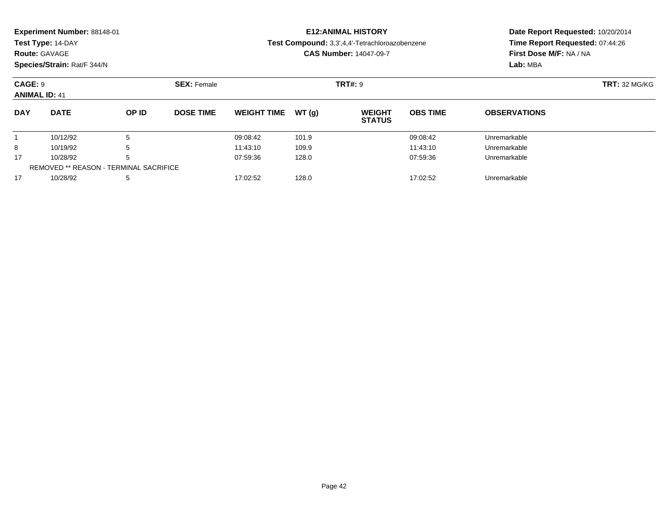| <b>Experiment Number: 88148-01</b><br>Test Type: 14-DAY |                             |                  | <b>E12:ANIMAL HISTORY</b>     |        |                                                |                                                                   | Date Report Requested: 10/20/2014 |  |
|---------------------------------------------------------|-----------------------------|------------------|-------------------------------|--------|------------------------------------------------|-------------------------------------------------------------------|-----------------------------------|--|
|                                                         |                             |                  |                               |        | Test Compound: 3,3',4,4'-Tetrachloroazobenzene | Time Report Requested: 07:44:26<br><b>First Dose M/F: NA / NA</b> |                                   |  |
| <b>Route: GAVAGE</b>                                    |                             |                  | <b>CAS Number: 14047-09-7</b> |        |                                                |                                                                   |                                   |  |
|                                                         | Species/Strain: Rat/F 344/N |                  |                               |        |                                                |                                                                   | Lab: MBA                          |  |
| CAGE: 9                                                 | <b>SEX: Female</b>          |                  |                               |        | <b>TRT#: 9</b>                                 |                                                                   | <b>TRT: 32 MG/KG</b>              |  |
| <b>ANIMAL ID: 41</b>                                    |                             |                  |                               |        |                                                |                                                                   |                                   |  |
| <b>DATE</b><br><b>DAY</b>                               | OP ID                       | <b>DOSE TIME</b> | <b>WEIGHT TIME</b>            | WT (a) | <b>WEIGHT</b>                                  | <b>OBS TIME</b>                                                   | <b>OBSERVATIONS</b>               |  |

|    |                                        |  |          |       | <b>STATUS</b> |              |  |  |
|----|----------------------------------------|--|----------|-------|---------------|--------------|--|--|
|    | 10/12/92                               |  | 09:08:42 | 101.9 | 09:08:42      | Unremarkable |  |  |
| ິ  | 10/19/92                               |  | 11:43:10 | 109.9 | 11:43:10      | Unremarkable |  |  |
| 17 | 10/28/92                               |  | 07:59:36 | 128.0 | 07:59:36      | Unremarkable |  |  |
|    | REMOVED ** REASON - TERMINAL SACRIFICE |  |          |       |               |              |  |  |
| 47 | 10/28/92                               |  | 17:02:52 | 128.0 | 17:02:52      | Unremarkable |  |  |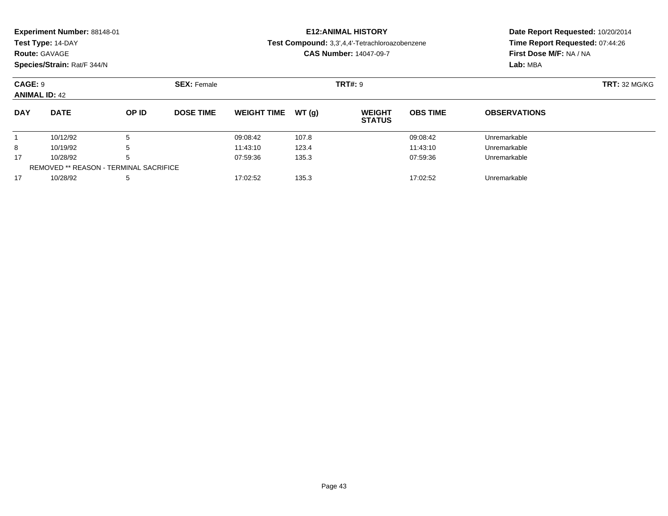| <b>Experiment Number: 88148-01</b> |                    | <b>E12: ANIMAL HISTORY</b>                            | Date Report Requested: 10/20/2014 |
|------------------------------------|--------------------|-------------------------------------------------------|-----------------------------------|
| Test Type: 14-DAY                  |                    | <b>Test Compound:</b> 3,3',4,4'-Tetrachloroazobenzene | Time Report Requested: 07:44:26   |
| <b>Route: GAVAGE</b>               |                    | <b>CAS Number: 14047-09-7</b>                         | <b>First Dose M/F: NA / NA</b>    |
| Species/Strain: Rat/F 344/N        |                    |                                                       | Lab: MBA                          |
| <b>CAGE: 9</b>                     | <b>SEX: Female</b> | <b>TRT#: 9</b>                                        | <b>TRT: 32 MG/KG</b>              |

|            | <b>ANIMAL ID: 42</b>                   |       |                  |                    |       |                                |                 |                     |  |  |  |
|------------|----------------------------------------|-------|------------------|--------------------|-------|--------------------------------|-----------------|---------------------|--|--|--|
| <b>DAY</b> | <b>DATE</b>                            | OP ID | <b>DOSE TIME</b> | <b>WEIGHT TIME</b> | WT(q) | <b>WEIGHT</b><br><b>STATUS</b> | <b>OBS TIME</b> | <b>OBSERVATIONS</b> |  |  |  |
|            | 10/12/92                               |       |                  | 09:08:42           | 107.8 |                                | 09:08:42        | Unremarkable        |  |  |  |
| 8          | 10/19/92                               |       |                  | 11:43:10           | 123.4 |                                | 11:43:10        | Unremarkable        |  |  |  |
| 17         | 10/28/92                               |       |                  | 07:59:36           | 135.3 |                                | 07:59:36        | Unremarkable        |  |  |  |
|            | REMOVED ** REASON - TERMINAL SACRIFICE |       |                  |                    |       |                                |                 |                     |  |  |  |
| 17         | 10/28/92                               |       |                  | 17:02:52           | 135.3 |                                | 17:02:52        | Unremarkable        |  |  |  |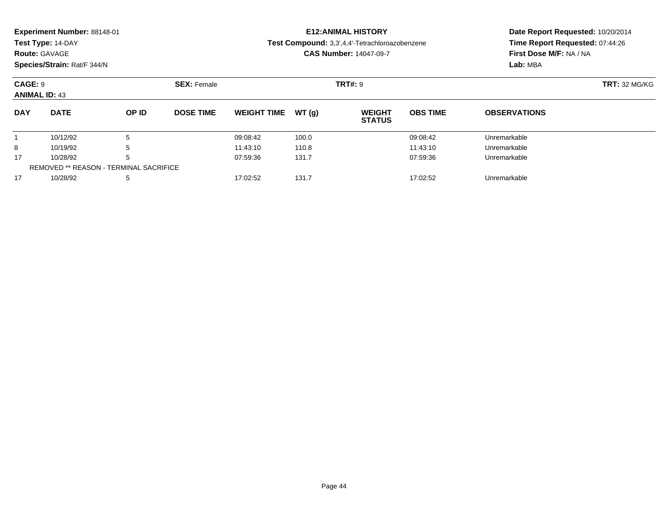**Test Type:** 14-DAY

## **Route:** GAVAGE

**Species/Strain:** Rat/F 344/N

# **E12:ANIMAL HISTORY**

#### **Test Compound:** 3,3',4,4'-Tetrachloroazobenzene

**CAS Number:** 14047-09-7

## **Date Report Requested:** 10/20/2014 **Time Report Requested:** 07:44:26**First Dose M/F:** NA / NA**Lab:** MBA

| CAGE: 9<br><b>ANIMAL ID: 43</b> |                                               |       | <b>SEX: Female</b> |                    |       | <b>TRT#: 9</b>                 | <b>TRT: 32 MG/KG</b> |                     |  |
|---------------------------------|-----------------------------------------------|-------|--------------------|--------------------|-------|--------------------------------|----------------------|---------------------|--|
| <b>DAY</b>                      | <b>DATE</b>                                   | OP ID | <b>DOSE TIME</b>   | <b>WEIGHT TIME</b> | WT(a) | <b>WEIGHT</b><br><b>STATUS</b> | <b>OBS TIME</b>      | <b>OBSERVATIONS</b> |  |
|                                 | 10/12/92                                      | 5     |                    | 09:08:42           | 100.0 |                                | 09:08:42             | Unremarkable        |  |
| 8                               | 10/19/92                                      | 5     |                    | 11:43:10           | 110.8 |                                | 11:43:10             | Unremarkable        |  |
| 17                              | 10/28/92                                      | 5     |                    | 07:59:36           | 131.7 |                                | 07:59:36             | Unremarkable        |  |
|                                 | <b>REMOVED ** REASON - TERMINAL SACRIFICE</b> |       |                    |                    |       |                                |                      |                     |  |
| 17                              | 10/28/92                                      | 5     |                    | 17:02:52           | 131.7 |                                | 17:02:52             | Unremarkable        |  |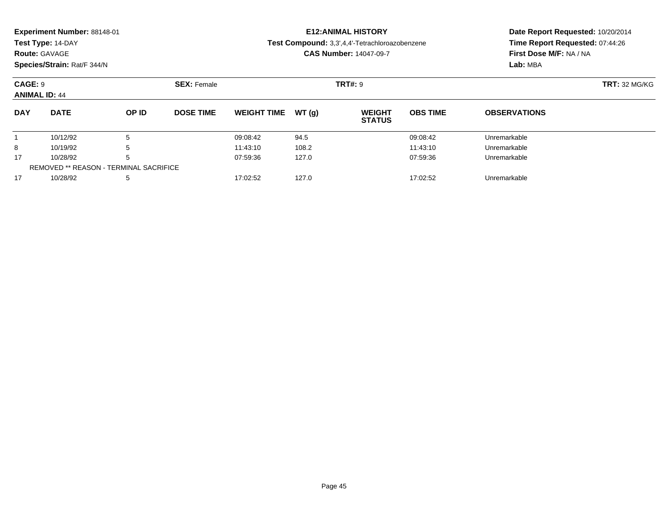| Experiment Number: 88148-01<br>Test Type: 14-DAY<br><b>Route: GAVAGE</b><br>Species/Strain: Rat/F 344/N |                      |                    |                  |                      |                | <b>E12: ANIMAL HISTORY</b><br>Test Compound: 3,3',4,4'-Tetrachloroazobenzene<br><b>CAS Number: 14047-09-7</b> | Date Report Requested: 10/20/2014<br>Time Report Requested: 07:44:26<br>First Dose M/F: NA / NA<br>Lab: MBA |                              |  |
|---------------------------------------------------------------------------------------------------------|----------------------|--------------------|------------------|----------------------|----------------|---------------------------------------------------------------------------------------------------------------|-------------------------------------------------------------------------------------------------------------|------------------------------|--|
| CAGE: 9<br><b>ANIMAL ID: 44</b>                                                                         |                      | <b>SEX: Female</b> |                  |                      | <b>TRT#: 9</b> |                                                                                                               | <b>TRT: 32 MG/KG</b>                                                                                        |                              |  |
| <b>DAY</b>                                                                                              | <b>DATE</b>          | OP ID              | <b>DOSE TIME</b> | <b>WEIGHT TIME</b>   | WT (a)         | <b>WEIGHT</b><br><b>STATUS</b>                                                                                | <b>OBS TIME</b>                                                                                             | <b>OBSERVATIONS</b>          |  |
| 8                                                                                                       | 10/12/92<br>10/19/92 | 5<br>ა             |                  | 09:08:42<br>11:43:10 | 94.5<br>108.2  |                                                                                                               | 09:08:42<br>11:43:10                                                                                        | Unremarkable<br>Unremarkable |  |

10/28/92 <sup>5</sup> 07:59:36 127.0 07:59:36 Unremarkable

10/28/92 <sup>5</sup> 17:02:52 127.0 17:02:52 Unremarkable

17

17

REMOVED \*\* REASON - TERMINAL SACRIFICE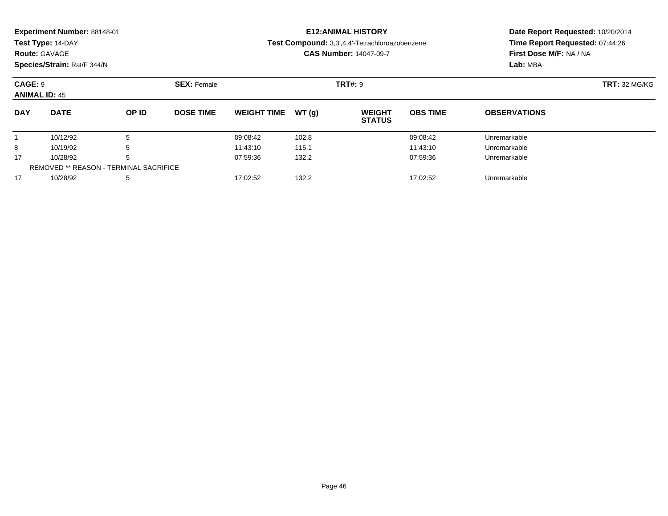|            | <b>Experiment Number: 88148-01</b><br>Test Type: 14-DAY<br><b>Route: GAVAGE</b><br>Species/Strain: Rat/F 344/N |       |                  |                     | <b>E12:ANIMAL HISTORY</b><br>Test Compound: 3,3',4,4'-Tetrachloroazobenzene<br><b>CAS Number: 14047-09-7</b> | Date Report Requested: 10/20/2014<br>Time Report Requested: 07:44:26<br>First Dose M/F: NA / NA<br>Lab: MBA |                      |  |
|------------|----------------------------------------------------------------------------------------------------------------|-------|------------------|---------------------|--------------------------------------------------------------------------------------------------------------|-------------------------------------------------------------------------------------------------------------|----------------------|--|
|            | CAGE: 9<br><b>SEX: Female</b>                                                                                  |       |                  |                     | <b>TRT#: 9</b>                                                                                               |                                                                                                             | <b>TRT: 32 MG/KG</b> |  |
|            | <b>ANIMAL ID: 45</b>                                                                                           |       |                  |                     |                                                                                                              |                                                                                                             |                      |  |
| <b>DAY</b> | <b>DATE</b>                                                                                                    | OP ID | <b>DOSE TIME</b> | WEIGHT TIME $WT(g)$ | <b>WEIGHT</b><br><b>STATUS</b>                                                                               | <b>OBS TIME</b>                                                                                             | <b>OBSERVATIONS</b>  |  |

10/12/92 <sup>5</sup> 09:08:42 102.8 09:08:42 Unremarkable

8 10/19/92 5 5 11:43:10 115.1 11:43:10 11:43:10 11:43:10

10/28/92 <sup>5</sup> 07:59:36 132.2 07:59:36 Unremarkable

10/28/92 <sup>5</sup> 17:02:52 132.2 17:02:52 Unremarkable

1

8

17

17

REMOVED \*\* REASON - TERMINAL SACRIFICE

# **Date Report Requested:** 10/20/2014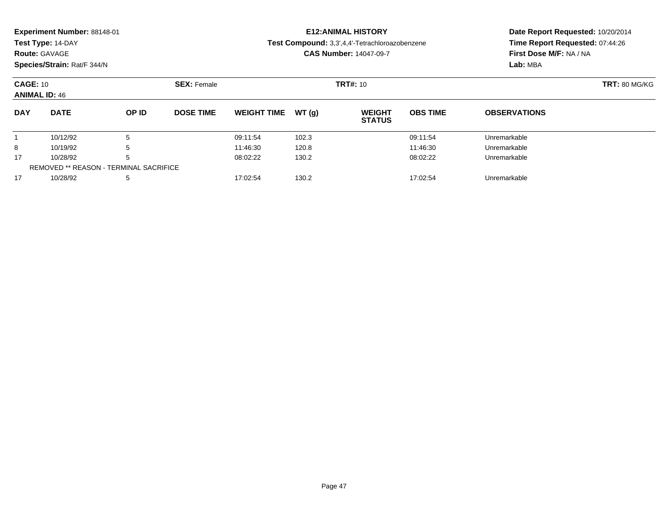| Experiment Number: 88148-01<br>Test Type: 14-DAY<br><b>Route: GAVAGE</b><br>Species/Strain: Rat/F 344/N |                                               |                    |                  |                    |                 | <b>E12: ANIMAL HISTORY</b><br>Test Compound: 3,3',4,4'-Tetrachloroazobenzene<br><b>CAS Number: 14047-09-7</b> | Date Report Requested: 10/20/2014<br>Time Report Requested: 07:44:26<br>First Dose M/F: NA / NA<br>Lab: MBA |                     |  |
|---------------------------------------------------------------------------------------------------------|-----------------------------------------------|--------------------|------------------|--------------------|-----------------|---------------------------------------------------------------------------------------------------------------|-------------------------------------------------------------------------------------------------------------|---------------------|--|
| <b>CAGE: 10</b><br><b>ANIMAL ID: 46</b>                                                                 |                                               | <b>SEX: Female</b> |                  |                    | <b>TRT#: 10</b> |                                                                                                               | <b>TRT: 80 MG/KG</b>                                                                                        |                     |  |
| <b>DAY</b>                                                                                              | <b>DATE</b>                                   | OP ID              | <b>DOSE TIME</b> | <b>WEIGHT TIME</b> | WT(g)           | <b>WEIGHT</b><br><b>STATUS</b>                                                                                | <b>OBS TIME</b>                                                                                             | <b>OBSERVATIONS</b> |  |
|                                                                                                         | 10/12/92                                      | 5                  |                  | 09:11:54           | 102.3           |                                                                                                               | 09:11:54                                                                                                    | Unremarkable        |  |
| 8                                                                                                       | 10/19/92                                      | 5                  |                  | 11:46:30           | 120.8           |                                                                                                               | 11:46:30                                                                                                    | Unremarkable        |  |
| 17                                                                                                      | 10/28/92                                      | <sub>5</sub>       |                  | 08:02:22           | 130.2           |                                                                                                               | 08:02:22                                                                                                    | Unremarkable        |  |
|                                                                                                         | <b>REMOVED ** REASON - TERMINAL SACRIFICE</b> |                    |                  |                    |                 |                                                                                                               |                                                                                                             |                     |  |

10/28/92 <sup>5</sup> 17:02:54 130.2 17:02:54 Unremarkable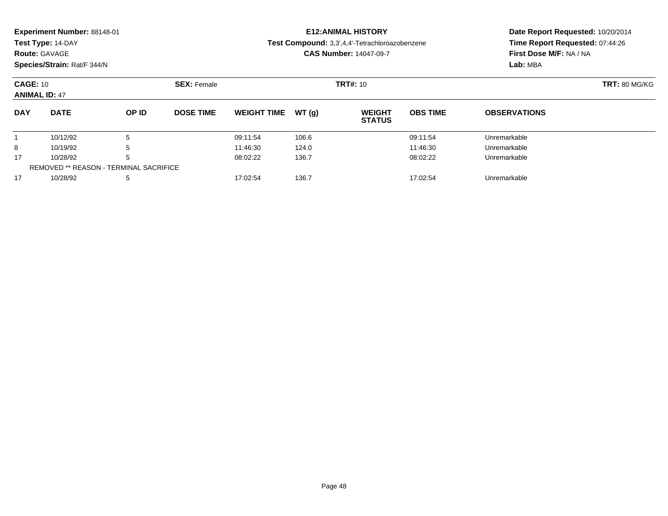|                                         | Experiment Number: 88148-01<br>Test Type: 14-DAY<br><b>Route: GAVAGE</b><br>Species/Strain: Rat/F 344/N |       |                    | <b>E12: ANIMAL HISTORY</b><br>Test Compound: 3,3',4,4'-Tetrachloroazobenzene<br><b>CAS Number: 14047-09-7</b> | Date Report Requested: 10/20/2014<br>Time Report Requested: 07:44:26<br>First Dose M/F: NA / NA<br>Lab: MBA |                                |                 |                      |  |
|-----------------------------------------|---------------------------------------------------------------------------------------------------------|-------|--------------------|---------------------------------------------------------------------------------------------------------------|-------------------------------------------------------------------------------------------------------------|--------------------------------|-----------------|----------------------|--|
| <b>CAGE: 10</b><br><b>ANIMAL ID: 47</b> |                                                                                                         |       | <b>SEX: Female</b> |                                                                                                               |                                                                                                             | <b>TRT#: 10</b>                |                 | <b>TRT: 80 MG/KG</b> |  |
| <b>DAY</b>                              | <b>DATE</b>                                                                                             | OP ID | <b>DOSE TIME</b>   | <b>WEIGHT TIME</b>                                                                                            | WT(g)                                                                                                       | <b>WEIGHT</b><br><b>STATUS</b> | <b>OBS TIME</b> | <b>OBSERVATIONS</b>  |  |
|                                         | 10/12/92                                                                                                | 5     |                    | 09:11:54                                                                                                      | 106.6                                                                                                       |                                | 09:11:54        | Unremarkable         |  |
| 8                                       | 10/19/92                                                                                                | 5     |                    | 11:46:30                                                                                                      | 124.0                                                                                                       |                                | 11:46:30        | Unremarkable         |  |
| 17                                      | 10/28/92                                                                                                | 5     |                    | 08:02:22                                                                                                      | 136.7                                                                                                       |                                | 08:02:22        | Unremarkable         |  |
|                                         | <b>REMOVED ** REASON - TERMINAL SACRIFICE</b>                                                           |       |                    |                                                                                                               |                                                                                                             |                                |                 |                      |  |
| 17                                      | 10/28/92                                                                                                | 5     |                    | 17:02:54                                                                                                      | 136.7                                                                                                       |                                | 17:02:54        | Unremarkable         |  |

10/28/92 <sup>5</sup> 17:02:54 136.7 17:02:54 Unremarkable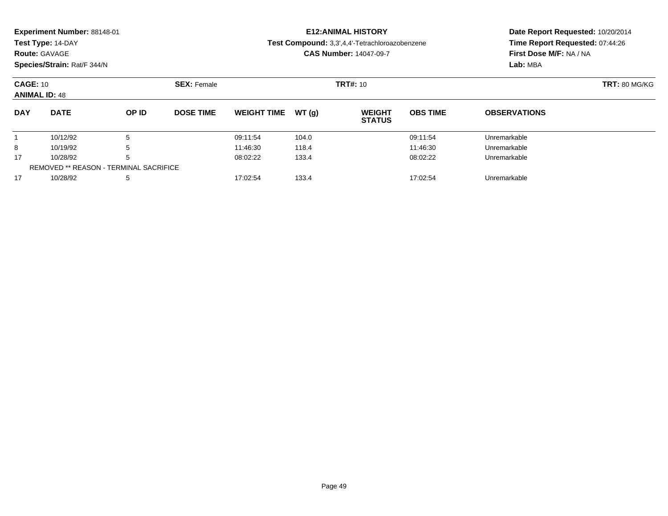| Experiment Number: 88148-01<br>Test Type: 14-DAY<br><b>Route: GAVAGE</b><br>Species/Strain: Rat/F 344/N |                                               |       |                    |                    |       | <b>E12: ANIMAL HISTORY</b><br>Test Compound: 3,3',4,4'-Tetrachloroazobenzene<br><b>CAS Number: 14047-09-7</b> | Date Report Requested: 10/20/2014<br>Time Report Requested: 07:44:26<br>First Dose M/F: NA / NA<br>Lab: MBA |                     |  |
|---------------------------------------------------------------------------------------------------------|-----------------------------------------------|-------|--------------------|--------------------|-------|---------------------------------------------------------------------------------------------------------------|-------------------------------------------------------------------------------------------------------------|---------------------|--|
| <b>CAGE: 10</b><br><b>ANIMAL ID: 48</b>                                                                 |                                               |       | <b>SEX: Female</b> |                    |       | <b>TRT#: 10</b>                                                                                               | <b>TRT: 80 MG/KG</b>                                                                                        |                     |  |
| <b>DAY</b>                                                                                              | <b>DATE</b>                                   | OP ID | <b>DOSE TIME</b>   | <b>WEIGHT TIME</b> | WT(q) | <b>WEIGHT</b><br><b>STATUS</b>                                                                                | <b>OBS TIME</b>                                                                                             | <b>OBSERVATIONS</b> |  |
|                                                                                                         | 10/12/92                                      | 5     |                    | 09:11:54           | 104.0 |                                                                                                               | 09:11:54                                                                                                    | Unremarkable        |  |
| 8                                                                                                       | 10/19/92                                      | 5     |                    | 11:46:30           | 118.4 |                                                                                                               | 11:46:30                                                                                                    | Unremarkable        |  |
| 17                                                                                                      | 10/28/92                                      | 5     |                    | 08:02:22           | 133.4 |                                                                                                               | 08:02:22                                                                                                    | Unremarkable        |  |
|                                                                                                         | <b>REMOVED ** REASON - TERMINAL SACRIFICE</b> |       |                    |                    |       |                                                                                                               |                                                                                                             |                     |  |

10/28/92 <sup>5</sup> 17:02:54 133.4 17:02:54 Unremarkable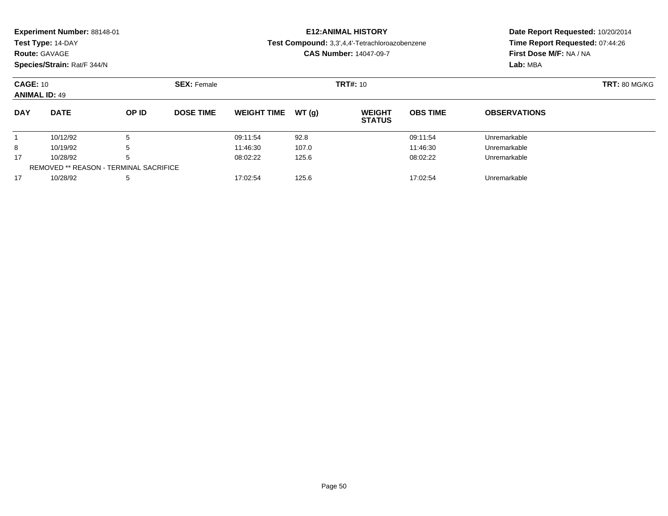|                                         | Experiment Number: 88148-01<br>Test Type: 14-DAY<br><b>Route: GAVAGE</b><br>Species/Strain: Rat/F 344/N |                                               |                    |                    |       | <b>E12: ANIMAL HISTORY</b><br>Test Compound: 3,3',4,4'-Tetrachloroazobenzene<br><b>CAS Number: 14047-09-7</b> | Date Report Requested: 10/20/2014<br>Time Report Requested: 07:44:26<br>First Dose M/F: NA / NA<br>Lab: MBA |                      |  |
|-----------------------------------------|---------------------------------------------------------------------------------------------------------|-----------------------------------------------|--------------------|--------------------|-------|---------------------------------------------------------------------------------------------------------------|-------------------------------------------------------------------------------------------------------------|----------------------|--|
| <b>CAGE: 10</b><br><b>ANIMAL ID: 49</b> |                                                                                                         |                                               | <b>SEX: Female</b> |                    |       | <b>TRT#: 10</b>                                                                                               |                                                                                                             | <b>TRT: 80 MG/KG</b> |  |
| <b>DAY</b>                              | <b>DATE</b>                                                                                             | OP ID                                         | <b>DOSE TIME</b>   | <b>WEIGHT TIME</b> | WT(q) | <b>WEIGHT</b><br><b>STATUS</b>                                                                                | <b>OBS TIME</b>                                                                                             | <b>OBSERVATIONS</b>  |  |
|                                         | 10/12/92                                                                                                | 5                                             |                    | 09:11:54           | 92.8  |                                                                                                               | 09:11:54                                                                                                    | Unremarkable         |  |
| 8                                       | 10/19/92                                                                                                | 5                                             |                    | 11:46:30           | 107.0 |                                                                                                               | 11:46:30                                                                                                    | Unremarkable         |  |
| 17                                      | 10/28/92                                                                                                |                                               |                    | 08:02:22           | 125.6 |                                                                                                               | 08:02:22                                                                                                    | Unremarkable         |  |
|                                         |                                                                                                         | <b>REMOVED ** REASON - TERMINAL SACRIFICE</b> |                    |                    |       |                                                                                                               |                                                                                                             |                      |  |
| 17                                      | 10/28/92                                                                                                | 5                                             |                    | 17:02:54           | 125.6 |                                                                                                               | 17:02:54                                                                                                    | Unremarkable         |  |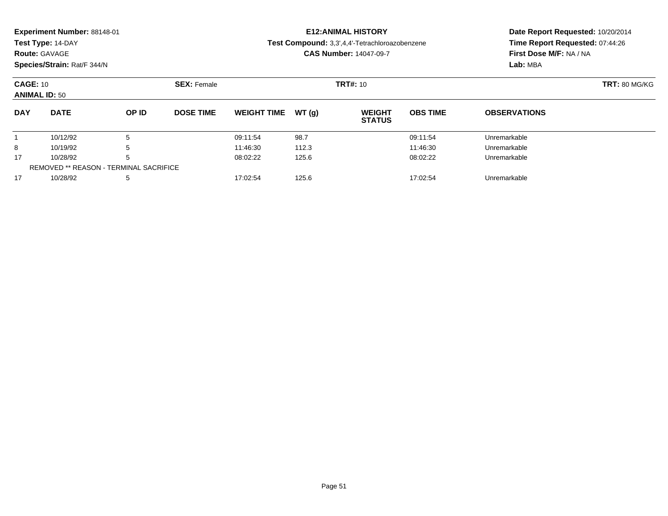| Experiment Number: 88148-01<br>Test Type: 14-DAY<br><b>Route: GAVAGE</b><br>Species/Strain: Rat/F 344/N |                                               |                    |                  |                    |                 | <b>E12: ANIMAL HISTORY</b><br>Test Compound: 3,3',4,4'-Tetrachloroazobenzene<br><b>CAS Number: 14047-09-7</b> | Date Report Requested: 10/20/2014<br>Time Report Requested: 07:44:26<br>First Dose M/F: NA / NA<br>Lab: MBA |                     |  |
|---------------------------------------------------------------------------------------------------------|-----------------------------------------------|--------------------|------------------|--------------------|-----------------|---------------------------------------------------------------------------------------------------------------|-------------------------------------------------------------------------------------------------------------|---------------------|--|
| <b>CAGE: 10</b><br><b>ANIMAL ID: 50</b>                                                                 |                                               | <b>SEX: Female</b> |                  |                    | <b>TRT#: 10</b> | <b>TRT: 80 MG/KG</b>                                                                                          |                                                                                                             |                     |  |
| <b>DAY</b>                                                                                              | <b>DATE</b>                                   | OP ID              | <b>DOSE TIME</b> | <b>WEIGHT TIME</b> | WT(g)           | <b>WEIGHT</b><br><b>STATUS</b>                                                                                | <b>OBS TIME</b>                                                                                             | <b>OBSERVATIONS</b> |  |
|                                                                                                         | 10/12/92                                      | 5                  |                  | 09:11:54           | 98.7            |                                                                                                               | 09:11:54                                                                                                    | Unremarkable        |  |
| 8                                                                                                       | 10/19/92                                      | 5                  |                  | 11:46:30           | 112.3           |                                                                                                               | 11:46:30                                                                                                    | Unremarkable        |  |
| 17                                                                                                      | 10/28/92                                      | 5                  |                  | 08:02:22           | 125.6           |                                                                                                               | 08:02:22                                                                                                    | Unremarkable        |  |
|                                                                                                         | <b>REMOVED ** REASON - TERMINAL SACRIFICE</b> |                    |                  |                    |                 |                                                                                                               |                                                                                                             |                     |  |

10/28/92 <sup>5</sup> 17:02:54 125.6 17:02:54 Unremarkable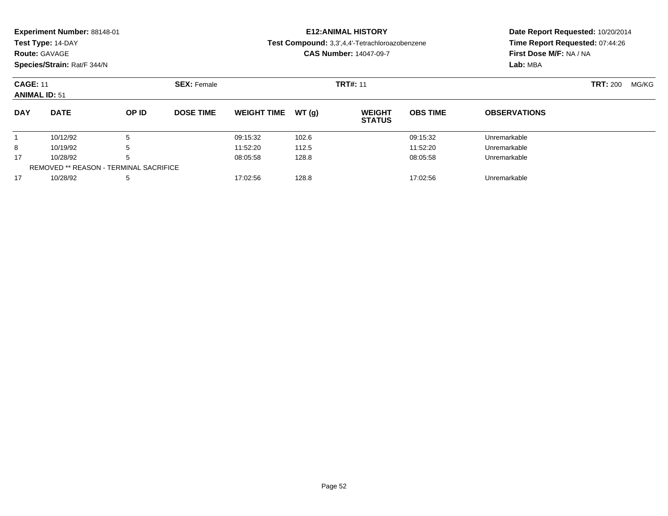| <b>Route: GAVAGE</b>                    | Experiment Number: 88148-01<br>Test Type: 14-DAY<br>Species/Strain: Rat/F 344/N |                                                    |                    |                    | <b>E12: ANIMAL HISTORY</b><br>Test Compound: 3,3',4,4'-Tetrachloroazobenzene<br><b>CAS Number: 14047-09-7</b> | Date Report Requested: 10/20/2014<br>Time Report Requested: 07:44:26<br>First Dose M/F: NA / NA<br>Lab: MBA |                 |                     |                 |       |
|-----------------------------------------|---------------------------------------------------------------------------------|----------------------------------------------------|--------------------|--------------------|---------------------------------------------------------------------------------------------------------------|-------------------------------------------------------------------------------------------------------------|-----------------|---------------------|-----------------|-------|
| <b>CAGE: 11</b><br><b>ANIMAL ID: 51</b> |                                                                                 |                                                    | <b>SEX: Female</b> | <b>TRT#: 11</b>    |                                                                                                               |                                                                                                             |                 |                     | <b>TRT: 200</b> | MG/KG |
| <b>DAY</b>                              | <b>DATE</b>                                                                     | OP ID                                              | <b>DOSE TIME</b>   | <b>WEIGHT TIME</b> | WT(q)                                                                                                         | <b>WEIGHT</b><br><b>STATUS</b>                                                                              | <b>OBS TIME</b> | <b>OBSERVATIONS</b> |                 |       |
|                                         | 10/12/92                                                                        | 5                                                  |                    | 09:15:32           | 102.6                                                                                                         |                                                                                                             | 09:15:32        | Unremarkable        |                 |       |
| 8                                       | 10/19/92                                                                        | 5                                                  |                    | 11:52:20           | 112.5                                                                                                         |                                                                                                             | 11:52:20        | Unremarkable        |                 |       |
| 17                                      | 10/28/92                                                                        | 5<br><b>REMOVED ** REASON - TERMINAL SACRIFICE</b> |                    | 08:05:58           | 128.8                                                                                                         |                                                                                                             | 08:05:58        | Unremarkable        |                 |       |
| 17                                      | 10/28/92                                                                        | 5                                                  |                    | 17:02:56           | 128.8                                                                                                         |                                                                                                             | 17:02:56        | Unremarkable        |                 |       |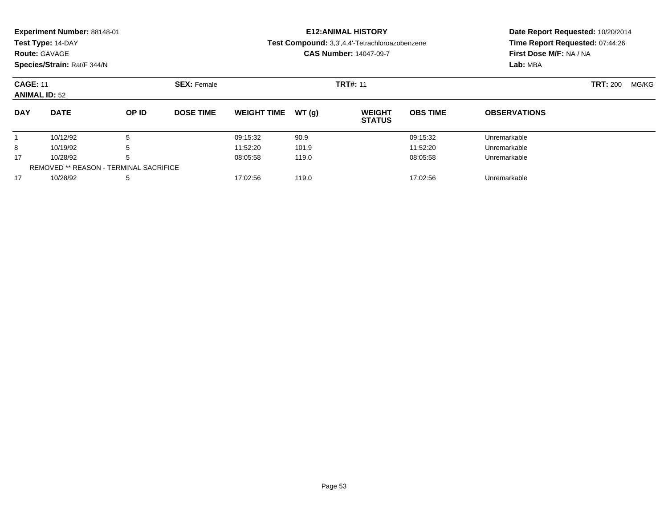|                                         | Experiment Number: 88148-01<br>Test Type: 14-DAY<br><b>Route: GAVAGE</b><br>Species/Strain: Rat/F 344/N |                    |                  |                    |       | <b>E12: ANIMAL HISTORY</b><br>Test Compound: 3,3',4,4'-Tetrachloroazobenzene<br><b>CAS Number: 14047-09-7</b> | Date Report Requested: 10/20/2014<br>Time Report Requested: 07:44:26<br>First Dose M/F: NA / NA<br>Lab: MBA |                     |       |  |
|-----------------------------------------|---------------------------------------------------------------------------------------------------------|--------------------|------------------|--------------------|-------|---------------------------------------------------------------------------------------------------------------|-------------------------------------------------------------------------------------------------------------|---------------------|-------|--|
| <b>CAGE: 11</b><br><b>ANIMAL ID: 52</b> |                                                                                                         | <b>SEX: Female</b> | <b>TRT#: 11</b>  |                    |       |                                                                                                               |                                                                                                             | <b>TRT: 200</b>     | MG/KG |  |
| <b>DAY</b>                              | <b>DATE</b>                                                                                             | OP ID              | <b>DOSE TIME</b> | <b>WEIGHT TIME</b> | WT(q) | <b>WEIGHT</b><br><b>STATUS</b>                                                                                | <b>OBS TIME</b>                                                                                             | <b>OBSERVATIONS</b> |       |  |
|                                         | 10/12/92                                                                                                | 5                  |                  | 09:15:32           | 90.9  |                                                                                                               | 09:15:32                                                                                                    | Unremarkable        |       |  |
| 8                                       | 10/19/92                                                                                                | 5                  |                  | 11:52:20           | 101.9 |                                                                                                               | 11:52:20                                                                                                    | Unremarkable        |       |  |
| 17                                      | 10/28/92                                                                                                | 5                  |                  | 08:05:58           | 119.0 |                                                                                                               | 08:05:58                                                                                                    | Unremarkable        |       |  |
|                                         | <b>REMOVED ** REASON - TERMINAL SACRIFICE</b>                                                           |                    |                  |                    |       |                                                                                                               |                                                                                                             |                     |       |  |
| 17                                      | 10/28/92                                                                                                | 5                  |                  | 17:02:56           | 119.0 |                                                                                                               | 17:02:56                                                                                                    | Unremarkable        |       |  |

10/28/92 <sup>5</sup> 17:02:56 119.0 17:02:56 Unremarkable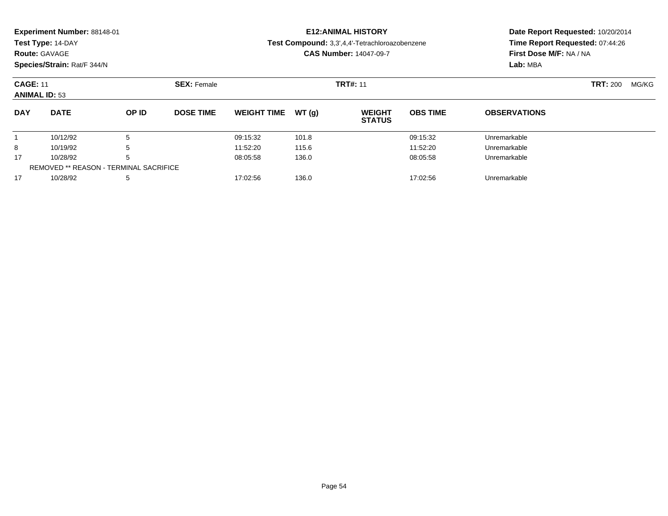|                                         | Experiment Number: 88148-01<br>Test Type: 14-DAY<br><b>Route: GAVAGE</b><br>Species/Strain: Rat/F 344/N |       |                    | <b>E12:ANIMAL HISTORY</b><br>Test Compound: 3,3',4,4'-Tetrachloroazobenzene<br><b>CAS Number: 14047-09-7</b> |       |                                |                 | Date Report Requested: 10/20/2014<br>Time Report Requested: 07:44:26<br>First Dose M/F: NA / NA<br>Lab: MBA |                 |       |
|-----------------------------------------|---------------------------------------------------------------------------------------------------------|-------|--------------------|--------------------------------------------------------------------------------------------------------------|-------|--------------------------------|-----------------|-------------------------------------------------------------------------------------------------------------|-----------------|-------|
| <b>CAGE: 11</b><br><b>ANIMAL ID: 53</b> |                                                                                                         |       | <b>SEX: Female</b> |                                                                                                              |       | <b>TRT#: 11</b>                |                 |                                                                                                             | <b>TRT: 200</b> | MG/KG |
| <b>DAY</b>                              | <b>DATE</b>                                                                                             | OP ID | <b>DOSE TIME</b>   | <b>WEIGHT TIME</b>                                                                                           | WT(q) | <b>WEIGHT</b><br><b>STATUS</b> | <b>OBS TIME</b> | <b>OBSERVATIONS</b>                                                                                         |                 |       |
|                                         | 10/12/92                                                                                                | 5     |                    | 09:15:32                                                                                                     | 101.8 |                                | 09:15:32        | Unremarkable                                                                                                |                 |       |
| 8                                       | 10/19/92                                                                                                | 5     |                    | 11:52:20                                                                                                     | 115.6 |                                | 11:52:20        | Unremarkable                                                                                                |                 |       |
| 17                                      | 10/28/92                                                                                                | 5     |                    | 08:05:58                                                                                                     | 136.0 |                                | 08:05:58        | Unremarkable                                                                                                |                 |       |
|                                         | <b>REMOVED ** REASON - TERMINAL SACRIFICE</b>                                                           |       |                    |                                                                                                              |       |                                |                 |                                                                                                             |                 |       |
| 17                                      | 10/28/92                                                                                                | 5     |                    | 17:02:56                                                                                                     | 136.0 |                                | 17:02:56        | Unremarkable                                                                                                |                 |       |

10/28/92 <sup>5</sup> 17:02:56 136.0 17:02:56 Unremarkable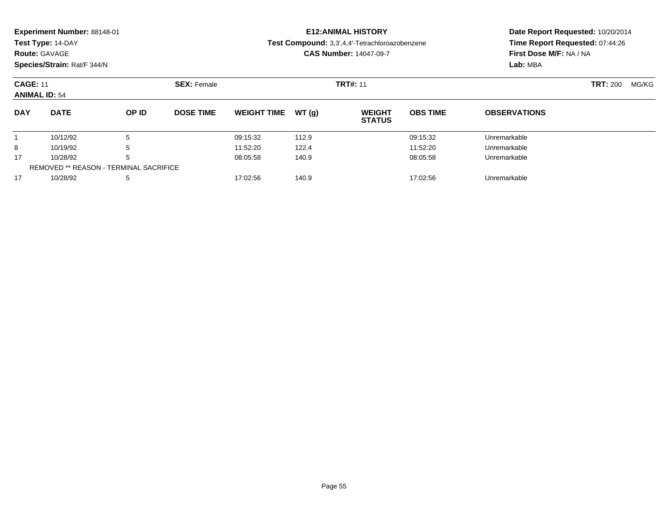| <b>Route: GAVAGE</b>                    | Experiment Number: 88148-01<br>Test Type: 14-DAY<br>Species/Strain: Rat/F 344/N |                                                    |                    |                    |       | <b>E12: ANIMAL HISTORY</b><br>Test Compound: 3,3',4,4'-Tetrachloroazobenzene<br><b>CAS Number: 14047-09-7</b> | Date Report Requested: 10/20/2014<br>Time Report Requested: 07:44:26<br>First Dose M/F: NA / NA<br>Lab: MBA |                     |                 |       |
|-----------------------------------------|---------------------------------------------------------------------------------|----------------------------------------------------|--------------------|--------------------|-------|---------------------------------------------------------------------------------------------------------------|-------------------------------------------------------------------------------------------------------------|---------------------|-----------------|-------|
| <b>CAGE: 11</b><br><b>ANIMAL ID: 54</b> |                                                                                 |                                                    | <b>SEX: Female</b> | <b>TRT#: 11</b>    |       |                                                                                                               |                                                                                                             |                     | <b>TRT: 200</b> | MG/KG |
| <b>DAY</b>                              | <b>DATE</b>                                                                     | OP ID                                              | <b>DOSE TIME</b>   | <b>WEIGHT TIME</b> | WT(g) | <b>WEIGHT</b><br><b>STATUS</b>                                                                                | <b>OBS TIME</b>                                                                                             | <b>OBSERVATIONS</b> |                 |       |
|                                         | 10/12/92                                                                        | 5                                                  |                    | 09:15:32           | 112.9 |                                                                                                               | 09:15:32                                                                                                    | Unremarkable        |                 |       |
| 8                                       | 10/19/92                                                                        | 5                                                  |                    | 11:52:20           | 122.4 |                                                                                                               | 11:52:20                                                                                                    | Unremarkable        |                 |       |
| 17                                      | 10/28/92                                                                        | 5<br><b>REMOVED ** REASON - TERMINAL SACRIFICE</b> |                    | 08:05:58           | 140.9 |                                                                                                               | 08:05:58                                                                                                    | Unremarkable        |                 |       |
| 17                                      | 10/28/92                                                                        | 5                                                  |                    | 17:02:56           | 140.9 |                                                                                                               | 17:02:56                                                                                                    | Unremarkable        |                 |       |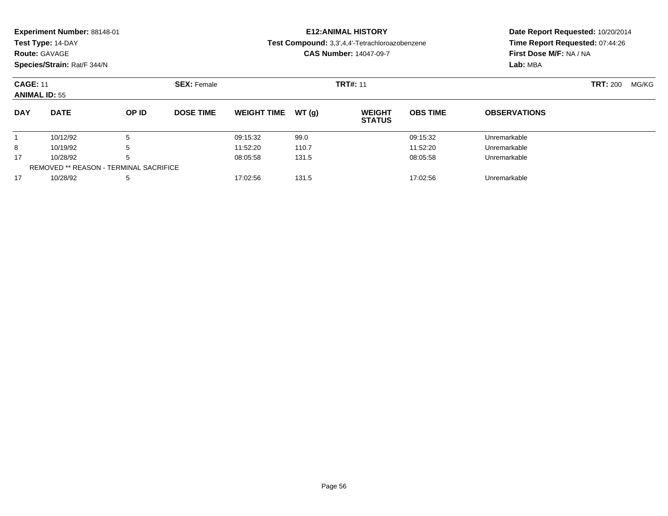|                                         | Experiment Number: 88148-01<br>Test Type: 14-DAY<br><b>Route: GAVAGE</b><br>Species/Strain: Rat/F 344/N |       |                    | <b>E12: ANIMAL HISTORY</b><br>Test Compound: 3,3',4,4'-Tetrachloroazobenzene<br><b>CAS Number: 14047-09-7</b> |        |                                |                 | Date Report Requested: 10/20/2014<br>Time Report Requested: 07:44:26<br>First Dose M/F: NA / NA<br>Lab: MBA |                          |  |
|-----------------------------------------|---------------------------------------------------------------------------------------------------------|-------|--------------------|---------------------------------------------------------------------------------------------------------------|--------|--------------------------------|-----------------|-------------------------------------------------------------------------------------------------------------|--------------------------|--|
| <b>CAGE: 11</b><br><b>ANIMAL ID: 55</b> |                                                                                                         |       | <b>SEX: Female</b> | <b>TRT#: 11</b>                                                                                               |        |                                |                 |                                                                                                             | <b>TRT: 200</b><br>MG/KG |  |
| <b>DAY</b>                              | <b>DATE</b>                                                                                             | OP ID | <b>DOSE TIME</b>   | <b>WEIGHT TIME</b>                                                                                            | WT (q) | <b>WEIGHT</b><br><b>STATUS</b> | <b>OBS TIME</b> | <b>OBSERVATIONS</b>                                                                                         |                          |  |
|                                         | 10/12/92                                                                                                | 5     |                    | 09:15:32                                                                                                      | 99.0   |                                | 09:15:32        | Unremarkable                                                                                                |                          |  |
| 8                                       | 10/19/92                                                                                                | 5     |                    | 11:52:20                                                                                                      | 110.7  |                                | 11:52:20        | Unremarkable                                                                                                |                          |  |
| 17                                      | 10/28/92                                                                                                | 5     |                    | 08:05:58                                                                                                      | 131.5  |                                | 08:05:58        | Unremarkable                                                                                                |                          |  |
|                                         | <b>REMOVED ** REASON - TERMINAL SACRIFICE</b>                                                           |       |                    |                                                                                                               |        |                                |                 |                                                                                                             |                          |  |
| 17                                      | 10/28/92                                                                                                |       |                    | 17:02:56                                                                                                      | 131.5  |                                | 17:02:56        | Unremarkable                                                                                                |                          |  |

10/28/92 <sup>5</sup> 17:02:56 131.5 17:02:56 Unremarkable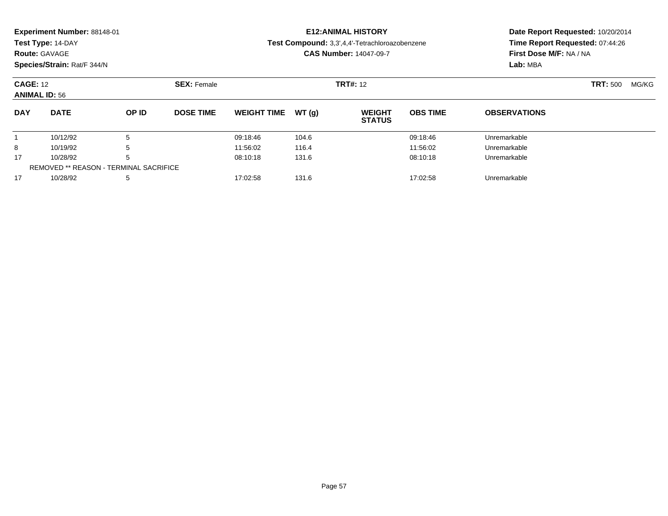| <b>Route: GAVAGE</b>                    | <b>Experiment Number: 88148-01</b><br>Test Type: 14-DAY<br>Species/Strain: Rat/F 344/N |                                                    |                    |                    |       | <b>E12: ANIMAL HISTORY</b><br>Test Compound: 3,3',4,4'-Tetrachloroazobenzene<br><b>CAS Number: 14047-09-7</b> | Date Report Requested: 10/20/2014<br>Time Report Requested: 07:44:26<br>First Dose M/F: NA / NA<br>Lab: MBA |                     |       |  |
|-----------------------------------------|----------------------------------------------------------------------------------------|----------------------------------------------------|--------------------|--------------------|-------|---------------------------------------------------------------------------------------------------------------|-------------------------------------------------------------------------------------------------------------|---------------------|-------|--|
| <b>CAGE: 12</b><br><b>ANIMAL ID: 56</b> |                                                                                        |                                                    | <b>SEX: Female</b> |                    |       | <b>TRT#: 12</b>                                                                                               |                                                                                                             | <b>TRT: 500</b>     | MG/KG |  |
| <b>DAY</b>                              | <b>DATE</b>                                                                            | OP ID                                              | <b>DOSE TIME</b>   | <b>WEIGHT TIME</b> | WT(g) | <b>WEIGHT</b><br><b>STATUS</b>                                                                                | <b>OBS TIME</b>                                                                                             | <b>OBSERVATIONS</b> |       |  |
|                                         | 10/12/92                                                                               | 5                                                  |                    | 09:18:46           | 104.6 |                                                                                                               | 09:18:46                                                                                                    | Unremarkable        |       |  |
| 8                                       | 10/19/92                                                                               | 5                                                  |                    | 11:56:02           | 116.4 |                                                                                                               | 11:56:02                                                                                                    | Unremarkable        |       |  |
| 17                                      | 10/28/92                                                                               | 5<br><b>REMOVED ** REASON - TERMINAL SACRIFICE</b> |                    | 08:10:18           | 131.6 |                                                                                                               | 08:10:18                                                                                                    | Unremarkable        |       |  |
| 17                                      | 10/28/92                                                                               | 5                                                  |                    | 17:02:58           | 131.6 |                                                                                                               | 17:02:58                                                                                                    | Unremarkable        |       |  |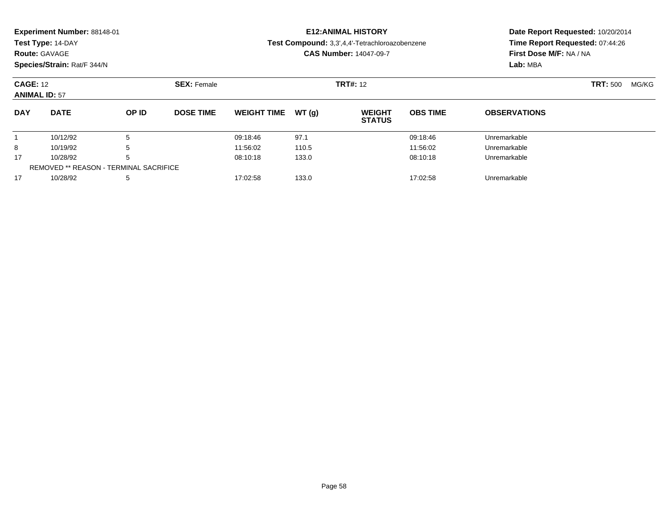|                      | Experiment Number: 88148-01 |                                                    |                    |                                                                                 |       | <b>E12: ANIMAL HISTORY</b>     | Date Report Requested: 10/20/2014 |                                                            |       |  |
|----------------------|-----------------------------|----------------------------------------------------|--------------------|---------------------------------------------------------------------------------|-------|--------------------------------|-----------------------------------|------------------------------------------------------------|-------|--|
|                      | Test Type: 14-DAY           |                                                    |                    | Test Compound: 3,3',4,4'-Tetrachloroazobenzene<br><b>CAS Number: 14047-09-7</b> |       |                                |                                   | Time Report Requested: 07:44:26<br>First Dose M/F: NA / NA |       |  |
| <b>Route: GAVAGE</b> |                             |                                                    |                    |                                                                                 |       |                                |                                   |                                                            |       |  |
|                      | Species/Strain: Rat/F 344/N |                                                    |                    |                                                                                 |       |                                |                                   | Lab: MBA                                                   |       |  |
| <b>CAGE: 12</b>      |                             |                                                    | <b>SEX: Female</b> |                                                                                 |       | <b>TRT#: 12</b>                |                                   | <b>TRT:</b> 500                                            | MG/KG |  |
| <b>ANIMAL ID: 57</b> |                             |                                                    |                    |                                                                                 |       |                                |                                   |                                                            |       |  |
| <b>DAY</b>           | <b>DATE</b>                 | OP ID                                              | <b>DOSE TIME</b>   | <b>WEIGHT TIME</b>                                                              | WT(q) | <b>WEIGHT</b><br><b>STATUS</b> | <b>OBS TIME</b>                   | <b>OBSERVATIONS</b>                                        |       |  |
|                      | 10/12/92                    | 5                                                  |                    | 09:18:46                                                                        | 97.1  |                                | 09:18:46                          | Unremarkable                                               |       |  |
| 8                    | 10/19/92                    | 5                                                  |                    | 11:56:02                                                                        | 110.5 |                                | 11:56:02                          | Unremarkable                                               |       |  |
| 17                   | 10/28/92                    | 5<br><b>REMOVED ** REASON - TERMINAL SACRIFICE</b> |                    | 08:10:18                                                                        | 133.0 |                                | 08:10:18                          | Unremarkable                                               |       |  |
| 17                   | 10/28/92                    | 5                                                  |                    | 17:02:58                                                                        | 133.0 |                                | 17:02:58                          | Unremarkable                                               |       |  |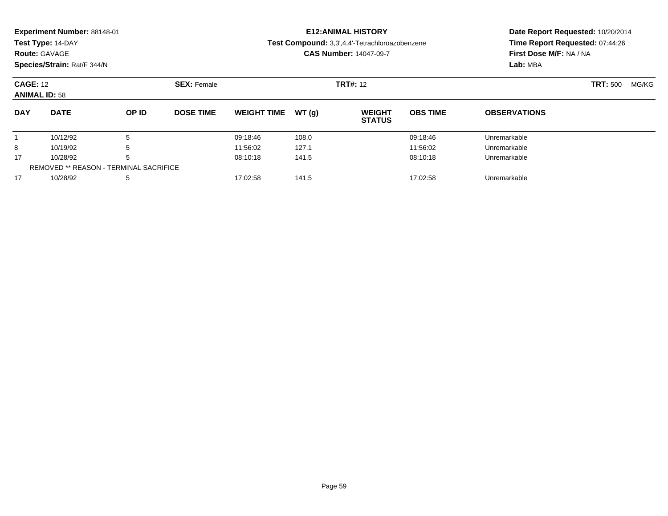| <b>Route: GAVAGE</b>                    | Experiment Number: 88148-01<br>Test Type: 14-DAY<br>Species/Strain: Rat/F 344/N |                                                    |                                       |                    |       | <b>E12: ANIMAL HISTORY</b><br>Test Compound: 3,3',4,4'-Tetrachloroazobenzene<br><b>CAS Number: 14047-09-7</b> | Date Report Requested: 10/20/2014<br>Time Report Requested: 07:44:26<br>First Dose M/F: NA / NA<br>Lab: MBA |                     |  |       |
|-----------------------------------------|---------------------------------------------------------------------------------|----------------------------------------------------|---------------------------------------|--------------------|-------|---------------------------------------------------------------------------------------------------------------|-------------------------------------------------------------------------------------------------------------|---------------------|--|-------|
| <b>CAGE: 12</b><br><b>ANIMAL ID: 58</b> |                                                                                 |                                                    | <b>TRT#: 12</b><br><b>SEX: Female</b> |                    |       |                                                                                                               |                                                                                                             |                     |  | MG/KG |
| <b>DAY</b>                              | <b>DATE</b>                                                                     | OP ID                                              | <b>DOSE TIME</b>                      | <b>WEIGHT TIME</b> | WT(q) | <b>WEIGHT</b><br><b>STATUS</b>                                                                                | <b>OBS TIME</b>                                                                                             | <b>OBSERVATIONS</b> |  |       |
|                                         | 10/12/92                                                                        | 5                                                  |                                       | 09:18:46           | 108.0 |                                                                                                               | 09:18:46                                                                                                    | Unremarkable        |  |       |
| 8                                       | 10/19/92                                                                        | 5                                                  |                                       | 11:56:02           | 127.1 |                                                                                                               | 11:56:02                                                                                                    | Unremarkable        |  |       |
| 17                                      | 10/28/92                                                                        | 5<br><b>REMOVED ** REASON - TERMINAL SACRIFICE</b> |                                       | 08:10:18           | 141.5 |                                                                                                               | 08:10:18                                                                                                    | Unremarkable        |  |       |
| 17                                      | 10/28/92                                                                        | 5                                                  |                                       | 17:02:58           | 141.5 |                                                                                                               | 17:02:58                                                                                                    | Unremarkable        |  |       |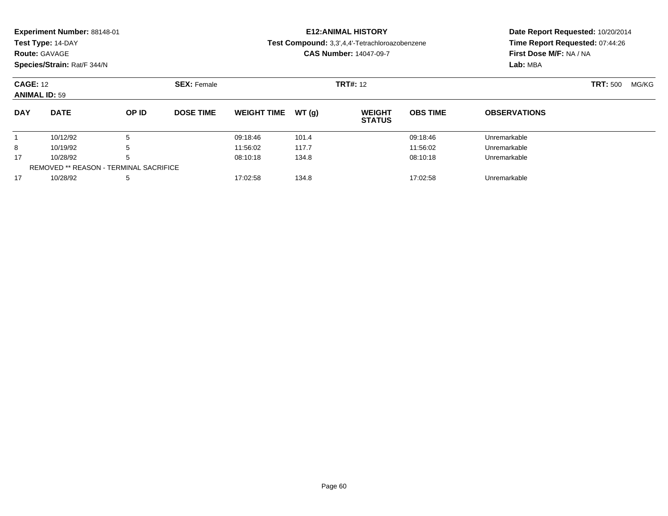|                                         | Experiment Number: 88148-01 |                                               |                                       |                                                                                 |       | <b>E12: ANIMAL HISTORY</b>     | Date Report Requested: 10/20/2014 |                                                            |       |  |
|-----------------------------------------|-----------------------------|-----------------------------------------------|---------------------------------------|---------------------------------------------------------------------------------|-------|--------------------------------|-----------------------------------|------------------------------------------------------------|-------|--|
|                                         | Test Type: 14-DAY           |                                               |                                       | Test Compound: 3,3',4,4'-Tetrachloroazobenzene<br><b>CAS Number: 14047-09-7</b> |       |                                |                                   | Time Report Requested: 07:44:26<br>First Dose M/F: NA / NA |       |  |
| <b>Route: GAVAGE</b>                    |                             |                                               |                                       |                                                                                 |       |                                |                                   |                                                            |       |  |
|                                         | Species/Strain: Rat/F 344/N |                                               |                                       |                                                                                 |       |                                |                                   | Lab: MBA                                                   |       |  |
| <b>CAGE: 12</b><br><b>ANIMAL ID: 59</b> |                             |                                               | <b>SEX: Female</b><br><b>TRT#: 12</b> |                                                                                 |       |                                |                                   | <b>TRT:</b> 500                                            | MG/KG |  |
| <b>DAY</b>                              | <b>DATE</b>                 | OP ID                                         | <b>DOSE TIME</b>                      | <b>WEIGHT TIME</b>                                                              | WT(q) | <b>WEIGHT</b><br><b>STATUS</b> | <b>OBS TIME</b>                   | <b>OBSERVATIONS</b>                                        |       |  |
|                                         | 10/12/92                    | 5                                             |                                       | 09:18:46                                                                        | 101.4 |                                | 09:18:46                          | Unremarkable                                               |       |  |
| 8                                       | 10/19/92                    | 5                                             |                                       | 11:56:02                                                                        | 117.7 |                                | 11:56:02                          | Unremarkable                                               |       |  |
| 17                                      | 10/28/92                    | 5                                             |                                       | 08:10:18                                                                        | 134.8 |                                | 08:10:18                          | Unremarkable                                               |       |  |
|                                         |                             | <b>REMOVED ** REASON - TERMINAL SACRIFICE</b> |                                       |                                                                                 |       |                                |                                   |                                                            |       |  |
| 17                                      | 10/28/92                    | 5                                             |                                       | 17:02:58                                                                        | 134.8 |                                | 17:02:58                          | Unremarkable                                               |       |  |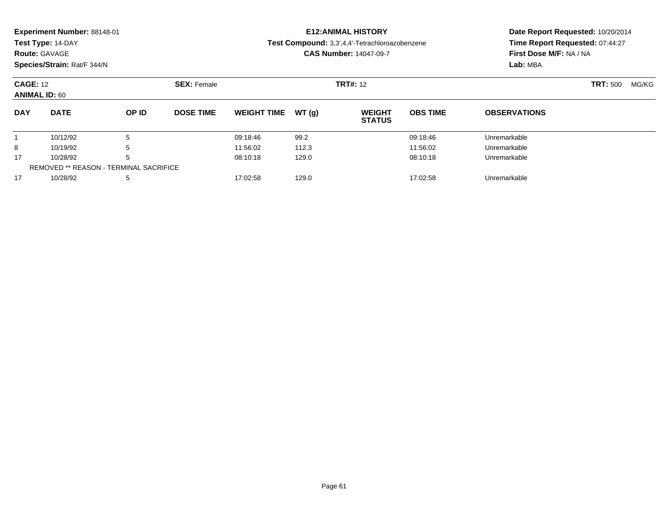|                                         | Experiment Number: 88148-01 |                                               |                    |                                                                                 |       | <b>E12: ANIMAL HISTORY</b>     | Date Report Requested: 10/20/2014 |                                                            |                 |       |
|-----------------------------------------|-----------------------------|-----------------------------------------------|--------------------|---------------------------------------------------------------------------------|-------|--------------------------------|-----------------------------------|------------------------------------------------------------|-----------------|-------|
|                                         | Test Type: 14-DAY           |                                               |                    | Test Compound: 3,3',4,4'-Tetrachloroazobenzene<br><b>CAS Number: 14047-09-7</b> |       |                                |                                   | Time Report Requested: 07:44:27<br>First Dose M/F: NA / NA |                 |       |
| <b>Route: GAVAGE</b>                    |                             |                                               |                    |                                                                                 |       |                                |                                   |                                                            |                 |       |
|                                         | Species/Strain: Rat/F 344/N |                                               |                    |                                                                                 |       |                                |                                   | Lab: MBA                                                   |                 |       |
| <b>CAGE: 12</b><br><b>ANIMAL ID: 60</b> |                             |                                               | <b>SEX: Female</b> | <b>TRT#: 12</b>                                                                 |       |                                |                                   |                                                            | <b>TRT: 500</b> | MG/KG |
| <b>DAY</b>                              | <b>DATE</b>                 | OP ID                                         | <b>DOSE TIME</b>   | <b>WEIGHT TIME</b>                                                              | WT(q) | <b>WEIGHT</b><br><b>STATUS</b> | <b>OBS TIME</b>                   | <b>OBSERVATIONS</b>                                        |                 |       |
|                                         | 10/12/92                    | 5                                             |                    | 09:18:46                                                                        | 99.2  |                                | 09:18:46                          | Unremarkable                                               |                 |       |
| 8                                       | 10/19/92                    | 5                                             |                    | 11:56:02                                                                        | 112.3 |                                | 11:56:02                          | Unremarkable                                               |                 |       |
| 17                                      | 10/28/92                    | 5                                             |                    | 08:10:18                                                                        | 129.0 |                                | 08:10:18                          | Unremarkable                                               |                 |       |
|                                         |                             | <b>REMOVED ** REASON - TERMINAL SACRIFICE</b> |                    |                                                                                 |       |                                |                                   |                                                            |                 |       |
| 17                                      | 10/28/92                    | 5                                             |                    | 17:02:58                                                                        | 129.0 |                                | 17:02:58                          | Unremarkable                                               |                 |       |